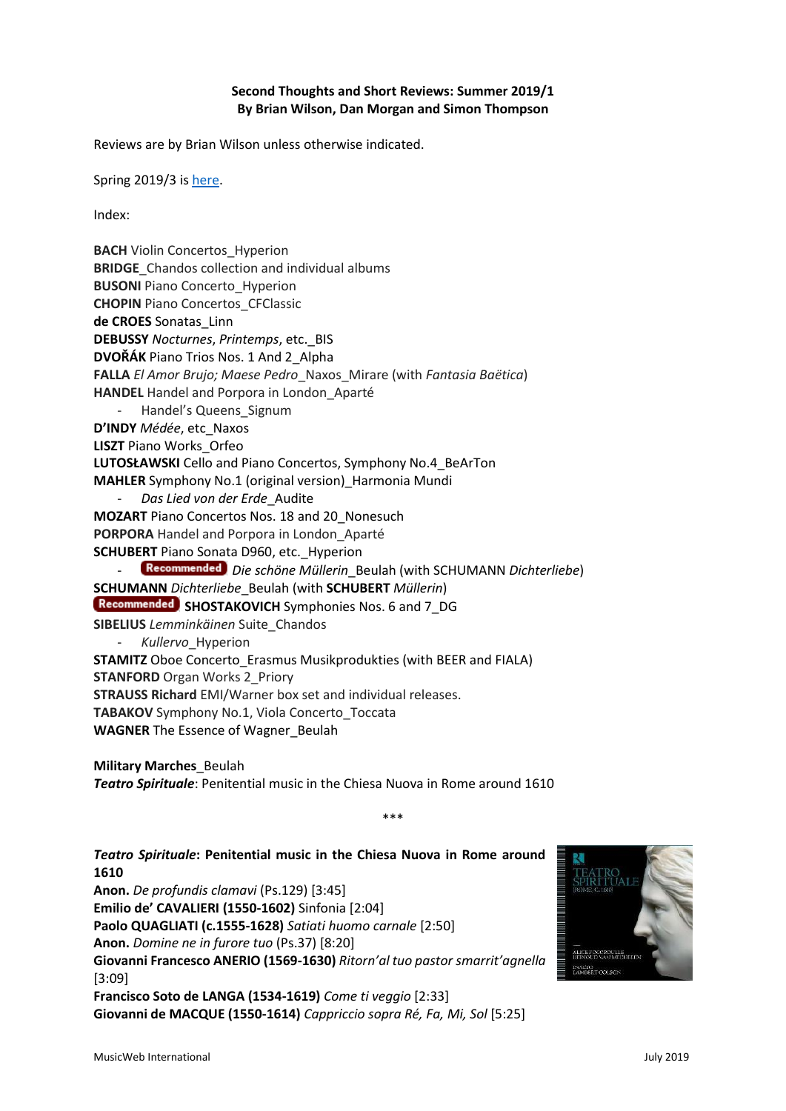### **Second Thoughts and Short Reviews: Summer 2019/1 By Brian Wilson, Dan Morgan and Simon Thompson**

Reviews are by Brian Wilson unless otherwise indicated.

Spring 2019/3 i[s here.](http://www.musicweb-international.com/classrev/2019/May/Spring_2019_3.pdf)

Index:

**BACH** Violin Concertos\_Hyperion **BRIDGE** Chandos collection and individual albums **BUSONI** Piano Concerto Hyperion **CHOPIN** Piano Concertos\_CFClassic **de CROES** Sonatas\_Linn **DEBUSSY** *Nocturnes*, *Printemps*, etc.\_BIS **DVOŘÁK** Piano Trios Nos. 1 And 2\_Alpha **FALLA** *El Amor Brujo; Maese Pedro*\_Naxos\_Mirare (with *Fantasia Baëtica*) **HANDEL** Handel and Porpora in London\_Aparté - Handel's Queens Signum **D'INDY** *Médée*, etc\_Naxos **LISZT** Piano Works\_Orfeo **LUTOSŁAWSKI** Cello and Piano Concertos, Symphony No.4\_BeArTon **MAHLER** Symphony No.1 (original version)\_Harmonia Mundi - *Das Lied von der Erde*\_Audite **MOZART** Piano Concertos Nos. 18 and 20\_Nonesuch **PORPORA** Handel and Porpora in London\_Aparté **SCHUBERT** Piano Sonata D960, etc.\_Hyperion - *Die schöne Müllerin*\_Beulah (with SCHUMANN *Dichterliebe*) **SCHUMANN** *Dichterliebe*\_Beulah (with **SCHUBERT** *Müllerin*) **Recommended** SHOSTAKOVICH Symphonies Nos. 6 and 7 DG **SIBELIUS** *Lemminkäinen* Suite\_Chandos - *Kullervo*\_Hyperion **STAMITZ** Oboe Concerto Erasmus Musikprodukties (with BEER and FIALA) **STANFORD** Organ Works 2 Priory **STRAUSS Richard** EMI/Warner box set and individual releases. **TABAKOV** Symphony No.1, Viola Concerto\_Toccata **WAGNER** The Essence of Wagner\_Beulah **Military Marches**\_Beulah *Teatro Spirituale*: Penitential music in the Chiesa Nuova in Rome around 1610 \*\*\*

*Teatro Spirituale***: Penitential music in the Chiesa Nuova in Rome around 1610 Anon.** *De profundis clamavi* (Ps.129) [3:45] **Emilio de' CAVALIERI (1550-1602)** Sinfonia [2:04] **Paolo QUAGLIATI (c.1555-1628)** *Satiati huomo carnale* [2:50] **Anon.** *Domine ne in furore tuo* (Ps.37) [8:20] **Giovanni Francesco ANERIO (1569-1630)** *Ritorn'al tuo pastor smarrit'agnella* [3:09] **Francisco Soto de LANGA (1534-1619)** *Come ti veggio* [2:33] **Giovanni de MACQUE (1550-1614)** *Cappriccio sopra Ré, Fa, Mi, Sol* [5:25]

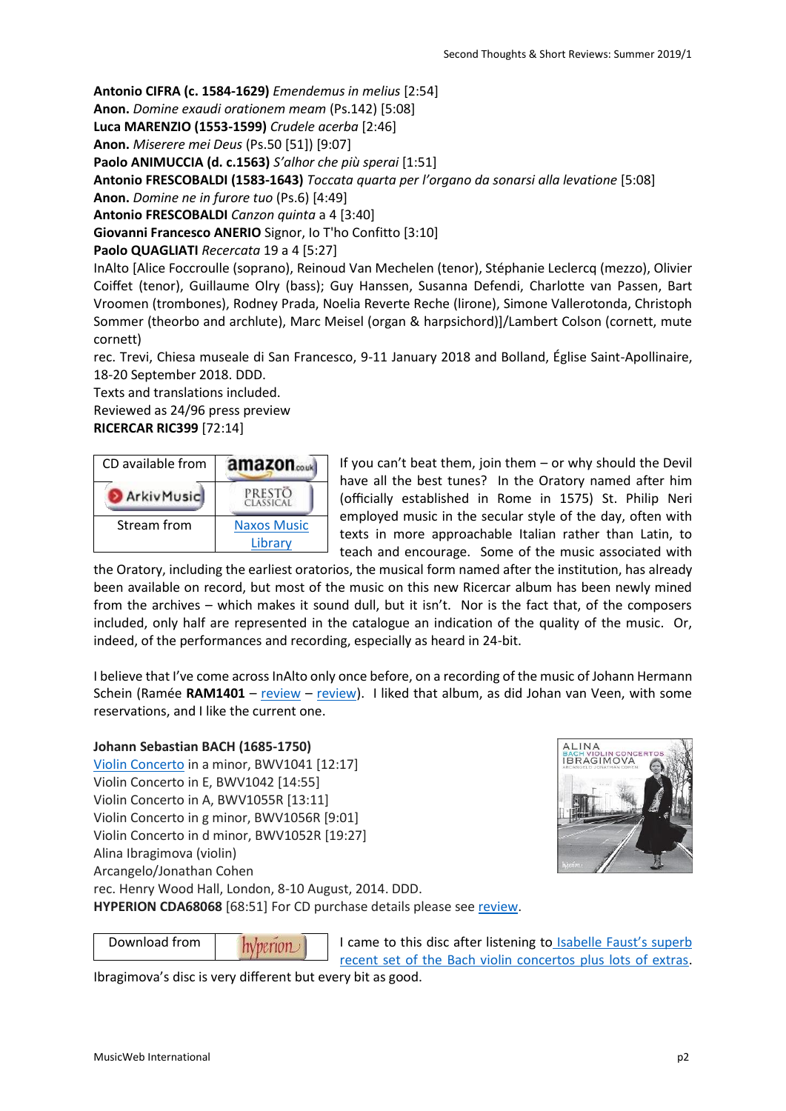**Antonio CIFRA (c. 1584-1629)** *Emendemus in melius* [2:54]

**Anon.** *Domine exaudi orationem meam* (Ps.142) [5:08]

**Luca MARENZIO (1553-1599)** *Crudele acerba* [2:46]

**Anon.** *Miserere mei Deus* (Ps.50 [51]) [9:07]

**Paolo ANIMUCCIA (d. c.1563)** *S'alhor che più sperai* [1:51]

**Antonio FRESCOBALDI (1583-1643)** *Toccata quarta per l'organo da sonarsi alla levatione* [5:08]

**Anon.** *Domine ne in furore tuo* (Ps.6) [4:49]

**Antonio FRESCOBALDI** *Canzon quinta* a 4 [3:40]

**Giovanni Francesco ANERIO** Signor, Io T'ho Confitto [3:10]

**Paolo QUAGLIATI** *Recercata* 19 a 4 [5:27]

InAlto [Alice Foccroulle (soprano), Reinoud Van Mechelen (tenor), Stéphanie Leclercq (mezzo), Olivier Coiffet (tenor), Guillaume Olry (bass); Guy Hanssen, Susanna Defendi, Charlotte van Passen, Bart Vroomen (trombones), Rodney Prada, Noelia Reverte Reche (lirone), Simone Vallerotonda, Christoph Sommer (theorbo and archlute), Marc Meisel (organ & harpsichord)]/Lambert Colson (cornett, mute cornett)

rec. Trevi, Chiesa museale di San Francesco, 9-11 January 2018 and Bolland, Église Saint-Apollinaire, 18-20 September 2018. DDD.

Texts and translations included. Reviewed as 24/96 press preview **RICERCAR RIC399** [72:14]

| CD available from | amazon              |
|-------------------|---------------------|
| ArkivMusic        | PRESTÖ<br>Classical |
| Stream from       | <b>Naxos Music</b>  |
|                   | Library             |

If you can't beat them, join them – or why should the Devil have all the best tunes? In the Oratory named after him (officially established in Rome in 1575) St. Philip Neri employed music in the secular style of the day, often with texts in more approachable Italian rather than Latin, to teach and encourage. Some of the music associated with

the Oratory, including the earliest oratorios, the musical form named after the institution, has already been available on record, but most of the music on this new Ricercar album has been newly mined from the archives – which makes it sound dull, but it isn't. Nor is the fact that, of the composers included, only half are represented in the catalogue an indication of the quality of the music. Or, indeed, of the performances and recording, especially as heard in 24-bit.

I believe that I've come across InAlto only once before, on a recording of the music of Johann Hermann Schein (Ramée **RAM1401** – [review](http://musicweb-international.com/classrev/2016/Mar/Schein_Leipzig_RAM1401.htm) – [review\)](http://www.musicweb-international.com/classrev/2015/Mar/Schein_Schweigen_RAM1401.htm). I liked that album, as did Johan van Veen, with some reservations, and I like the current one.

# **Johann Sebastian BACH (1685-1750)**

[Violin Concerto](http://www.musicweb-international.com/mwork_index/jsb_vc.htm) in a minor, BWV1041 [12:17] Violin Concerto in E, BWV1042 [14:55] Violin Concerto in A, BWV1055R [13:11] Violin Concerto in g minor, BWV1056R [9:01] Violin Concerto in d minor, BWV1052R [19:27] Alina Ibragimova (violin) Arcangelo/Jonathan Cohen rec. Henry Wood Hall, London, 8-10 August, 2014. DDD.



**HYPERION CDA68068** [68:51] For CD purchase details please see [review.](http://www.musicweb-international.com/classrev/2015/Nov/Bach_VCs_CDA68068.htm)

Download from $h$ /*perion*  I came to this disc after listening to [Isabelle Faust's superb](http://www.musicweb-international.com/classrev/2019/May/Bach_VCs_HMM902335.htm)  [recent set of the Bach violin concertos plus lots of extras.](http://www.musicweb-international.com/classrev/2019/May/Bach_VCs_HMM902335.htm)

Ibragimova's disc is very different but every bit as good.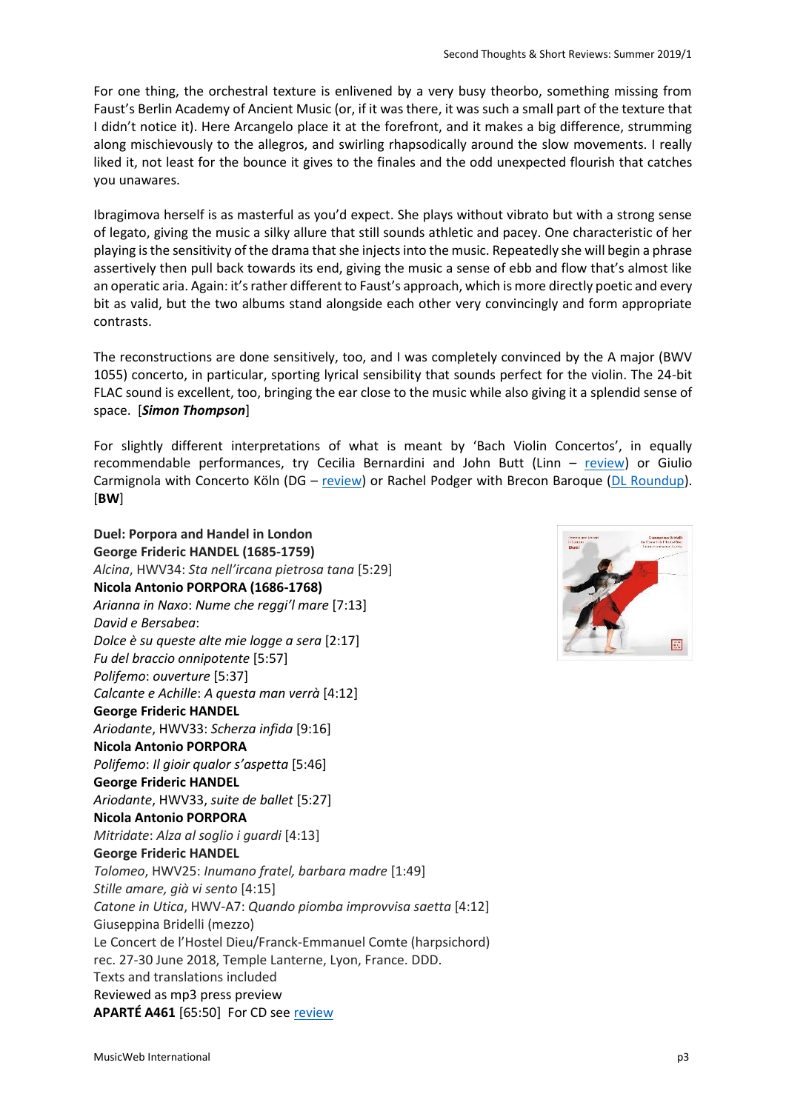For one thing, the orchestral texture is enlivened by a very busy theorbo, something missing from Faust's Berlin Academy of Ancient Music (or, if it was there, it was such a small part of the texture that I didn't notice it). Here Arcangelo place it at the forefront, and it makes a big difference, strumming along mischievously to the allegros, and swirling rhapsodically around the slow movements. I really liked it, not least for the bounce it gives to the finales and the odd unexpected flourish that catches you unawares.

Ibragimova herself is as masterful as you'd expect. She plays without vibrato but with a strong sense of legato, giving the music a silky allure that still sounds athletic and pacey. One characteristic of her playing is the sensitivity of the drama that she injects into the music. Repeatedly she will begin a phrase assertively then pull back towards its end, giving the music a sense of ebb and flow that's almost like an operatic aria. Again: it's rather different to Faust's approach, which is more directly poetic and every bit as valid, but the two albums stand alongside each other very convincingly and form appropriate contrasts.

The reconstructions are done sensitively, too, and I was completely convinced by the A major (BWV 1055) concerto, in particular, sporting lyrical sensibility that sounds perfect for the violin. The 24-bit FLAC sound is excellent, too, bringing the ear close to the music while also giving it a splendid sense of space. [*Simon Thompson*]

For slightly different interpretations of what is meant by 'Bach Violin Concertos', in equally recommendable performances, try Cecilia Bernardini and John Butt (Linn – [review\)](http://www.musicweb-international.com/classrev/2016/Mar/Bach_VCs_CKD519.htm) or Giulio Carmignola with Concerto Köln (DG – [review\)](http://www.musicweb-international.com/classrev/2014/Dec14/Bach_VCs_4114.htm) or Rachel Podger with Brecon Baroque [\(DL Roundup\)](http://www.musicweb-international.com/classrev/2011/Nov11/DL_roundup_Nov11_1.htm). [**BW**]

**Duel: Porpora and Handel in London George Frideric HANDEL (1685-1759)**  *Alcina*, HWV34: *Sta nell'ircana pietrosa tana* [5:29] **[Nicola Antonio](https://www.prestomusic.com/classical/composers/1606--porpora) PORPORA (1686-1768)** *Arianna in Naxo*: *Nume che reggi'l mare* [7:13] *David e Bersabea*: *Dolce è su queste alte mie logge a sera* [2:17] *Fu del braccio onnipotente* [5:57] *Polifemo*: *ouverture* [5:37] *Calcante e Achille*: *A questa man verrà* [4:12] **George Frideric HANDEL** *Ariodante*, HWV33: *Scherza infida* [9:16] **[Nicola Antonio](https://www.prestomusic.com/classical/composers/1606--porpora) PORPORA** *Polifemo*: *Il gioir qualor s'aspetta* [5:46] **George Frideric HANDEL** *Ariodante*, HWV33, *suite de ballet* [5:27] **[Nicola Antonio](https://www.prestomusic.com/classical/composers/1606--porpora) PORPORA** *Mitridate*: *Alza al soglio i guardi* [4:13] **George Frideric HANDEL** *Tolomeo*, HWV25: *Inumano fratel, barbara madre* [1:49] *Stille amare, già vi sento* [4:15] *Catone in Utica*, HWV-A7: *Quando piomba improvvisa saetta* [4:12] Giuseppina Bridelli (mezzo) Le Concert de l'Hostel Dieu/Franck-Emmanuel Comte (harpsichord) rec. 27-30 June 2018, Temple Lanterne, Lyon, France. DDD. Texts and translations included Reviewed as mp3 press preview **APARTÉ A461** [65:50] For CD se[e review](http://musicweb-international.com/classrev/2019/Jul/Duel_A461.htm)

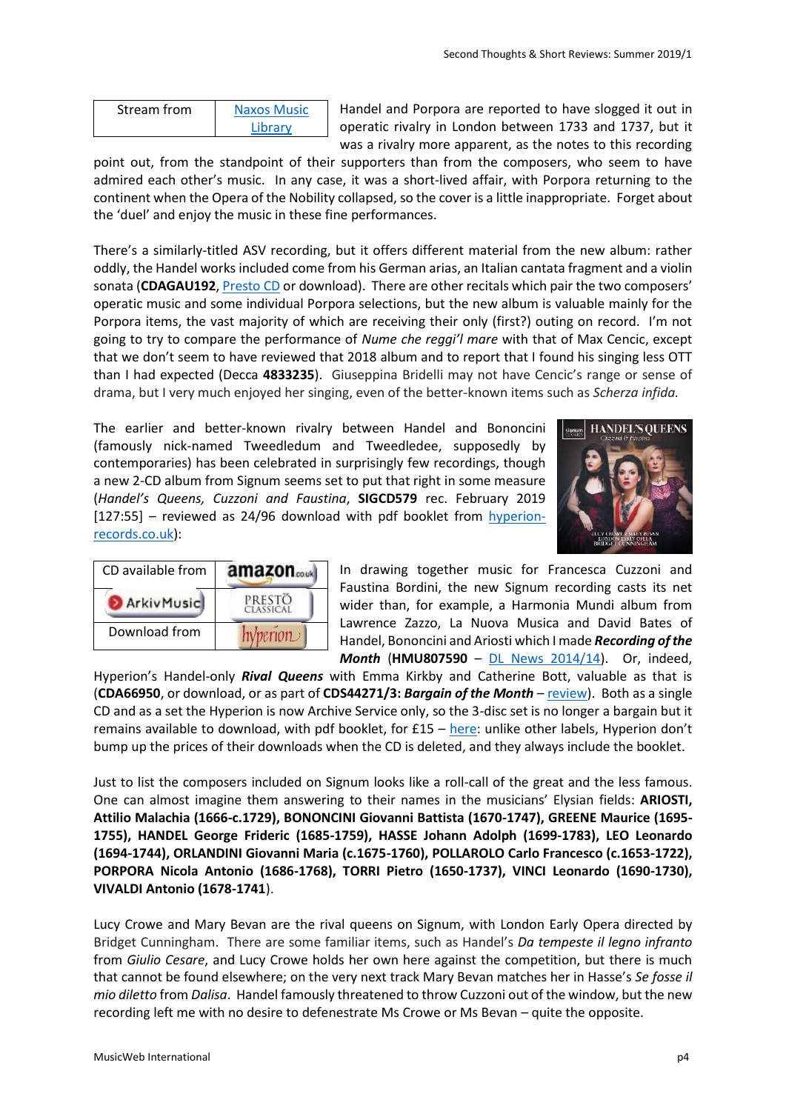| Stream from | <b>Naxos Music</b> |
|-------------|--------------------|
|             | Library            |

Handel and Porpora are reported to have slogged it out in operatic rivalry in London between 1733 and 1737, but it was a rivalry more apparent, as the notes to this recording

point out, from the standpoint of their supporters than from the composers, who seem to have admired each other's music. In any case, it was a short-lived affair, with Porpora returning to the continent when the Opera of the Nobility collapsed, so the cover is a little inappropriate. Forget about the 'duel' and enjoy the music in these fine performances.

There's a similarly-titled ASV recording, but it offers different material from the new album: rather oddly, the Handel works included come from his German arias, an Italian cantata fragment and a violin sonata (**CDAGAU192**[, Presto CD](https://www.prestomusic.com/classical/products/8036694--handel-and-porpora-the-rivals) or download). There are other recitals which pair the two composers' operatic music and some individual Porpora selections, but the new album is valuable mainly for the Porpora items, the vast majority of which are receiving their only (first?) outing on record. I'm not going to try to compare the performance of *Nume che reggi'l mare* with that of Max Cencic, except that we don't seem to have reviewed that 2018 album and to report that I found his singing less OTT than I had expected (Decca **4833235**). Giuseppina Bridelli may not have Cencic's range or sense of drama, but I very much enjoyed her singing, even of the better-known items such as *Scherza infida.*

The earlier and better-known rivalry between Handel and Bononcini (famously nick-named Tweedledum and Tweedledee, supposedly by contemporaries) has been celebrated in surprisingly few recordings, though a new 2-CD album from Signum seems set to put that right in some measure (*Handel's Queens, Cuzzoni and Faustina*, **SIGCD579** rec. February 2019 [127:55] – reviewed as 24/96 download with pdf booklet from [hyperion](https://www.hyperion-records.co.uk/dc.asp?dc=D_SIGCD579)[records.co.uk\)](https://www.hyperion-records.co.uk/dc.asp?dc=D_SIGCD579):





In drawing together music for Francesca Cuzzoni and Faustina Bordini, the new Signum recording casts its net wider than, for example, a Harmonia Mundi album from Lawrence Zazzo, La Nuova Musica and David Bates of Handel, Bononcini and Ariosti which I made *Recording of the Month* (**HMU807590** – [DL News 2014/14\)](http://www.musicweb-international.com/classrev/2014/Nov14/DL_News_2014_14.htm). Or, indeed,

Hyperion's Handel-only *Rival Queens* with Emma Kirkby and Catherine Bott, valuable as that is (**CDA66950**, or download, or as part of **CDS44271/3:** *Bargain of the Month* – [review\)](http://www.musicweb-international.com/classrev/2007/Sept07/Handel_kirkby_CDS44271-3.htm). Both as a single CD and as a set the Hyperion is now Archive Service only, so the 3-disc set is no longer a bargain but it remains available to download, with pdf booklet, for £15 – [here:](https://www.hyperion-records.co.uk/dc.asp?dc=D_CDS44271/3) unlike other labels, Hyperion don't bump up the prices of their downloads when the CD is deleted, and they always include the booklet.

Just to list the composers included on Signum looks like a roll-call of the great and the less famous. One can almost imagine them answering to their names in the musicians' Elysian fields: **ARIOSTI, Attilio Malachia (1666-c.1729), BONONCINI Giovanni Battista (1670-1747), GREENE Maurice (1695- 1755), HANDEL George Frideric (1685-1759), HASSE Johann Adolph (1699-1783), LEO Leonardo (1694-1744), ORLANDINI Giovanni Maria (c.1675-1760), POLLAROLO Carlo Francesco (c.1653-1722), PORPORA Nicola Antonio (1686-1768), TORRI Pietro (1650-1737), VINCI Leonardo (1690-1730), VIVALDI Antonio (1678-1741**).

Lucy Crowe and Mary Bevan are the rival queens on Signum, with London Early Opera directed by Bridget Cunningham. There are some familiar items, such as Handel's *Da tempeste il legno infranto* from *Giulio Cesare*, and Lucy Crowe holds her own here against the competition, but there is much that cannot be found elsewhere; on the very next track Mary Bevan matches her in Hasse's *Se fosse il mio diletto* from *Dalisa*. Handel famously threatened to throw Cuzzoni out of the window, but the new recording left me with no desire to defenestrate Ms Crowe or Ms Bevan – quite the opposite.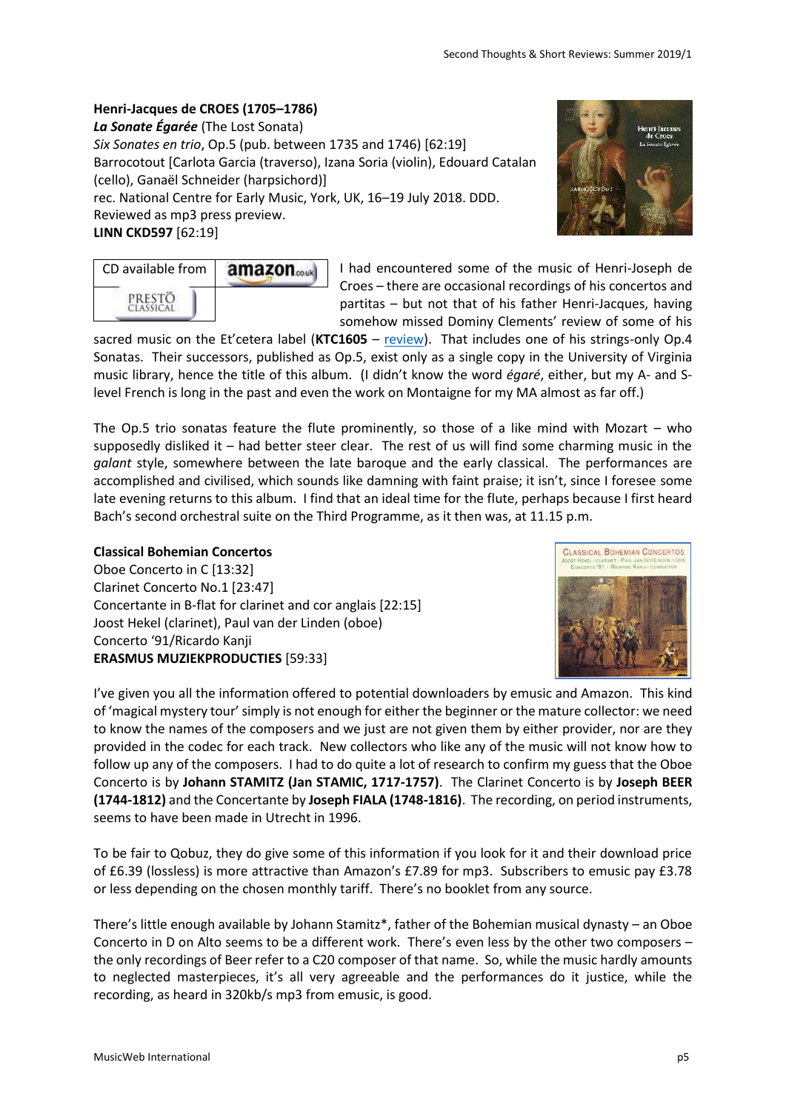# **Henri-Jacques de CROES (1705–1786)**

*La Sonate Égarée* (The Lost Sonata) *Six Sonates en trio*, Op.5 (pub. between 1735 and 1746) [62:19] Barrocotout [Carlota Garcia (traverso), Izana Soria (violin), Edouard Catalan (cello), Ganaël Schneider (harpsichord)] rec. National Centre for Early Music, York, UK, 16–19 July 2018. DDD. Reviewed as mp3 press preview.

**LINN CKD597** [62:19]

|                  | Henri-Jacques<br>de Croes |
|------------------|---------------------------|
|                  | La Sonate Égurée          |
|                  |                           |
| <b>BARBOROUT</b> |                           |
|                  |                           |
|                  |                           |

| CD available from | amazon |
|-------------------|--------|
| PRESTO<br>TACC1C  |        |

I had encountered some of the music of Henri-Joseph de Croes – there are occasional recordings of his concertos and partitas – but not that of his father Henri-Jacques, having somehow missed Dominy Clements' review of some of his

sacred music on the Et'cetera label (**KTC1605** – [review\)](http://www.musicweb-international.com/classrev/2017/Oct/Croes_motets_KTC1605.htm). That includes one of his strings-only Op.4 Sonatas. Their successors, published as Op.5, exist only as a single copy in the University of Virginia music library, hence the title of this album. (I didn't know the word *égaré*, either, but my A- and Slevel French is long in the past and even the work on Montaigne for my MA almost as far off.)

The Op.5 trio sonatas feature the flute prominently, so those of a like mind with Mozart – who supposedly disliked it – had better steer clear. The rest of us will find some charming music in the *galant* style, somewhere between the late baroque and the early classical. The performances are accomplished and civilised, which sounds like damning with faint praise; it isn't, since I foresee some late evening returns to this album. I find that an ideal time for the flute, perhaps because I first heard Bach's second orchestral suite on the Third Programme, as it then was, at 11.15 p.m.

# **Classical Bohemian Concertos**

Oboe Concerto in C [13:32] Clarinet Concerto No.1 [23:47] Concertante in B-flat for clarinet and cor anglais [22:15] Joost Hekel (clarinet), Paul van der Linden (oboe) Concerto '91/Ricardo Kanji **[ERASMUS MUZIEKPRODUCTIES](https://www.emusic.com/label/198016/Erasmus-Muziekproducties)** [59:33]



I've given you all the information offered to potential downloaders by emusic and Amazon. This kind of 'magical mystery tour'simply is not enough for either the beginner or the mature collector: we need to know the names of the composers and we just are not given them by either provider, nor are they provided in the codec for each track. New collectors who like any of the music will not know how to follow up any of the composers. I had to do quite a lot of research to confirm my guess that the Oboe Concerto is by **Johann STAMITZ (Jan STAMIC, 1717-1757)**. The Clarinet Concerto is by **Joseph BEER (1744-1812)** and the Concertante by **Joseph FIALA (1748-1816)**. The recording, on period instruments, seems to have been made in Utrecht in 1996.

To be fair to Qobuz, they do give some of this information if you look for it and their download price of £6.39 (lossless) is more attractive than Amazon's £7.89 for mp3. Subscribers to emusic pay £3.78 or less depending on the chosen monthly tariff. There's no booklet from any source.

There's little enough available by Johann Stamitz\*, father of the Bohemian musical dynasty – an Oboe Concerto in D on Alto seems to be a different work. There's even less by the other two composers – the only recordings of Beer refer to a C20 composer of that name. So, while the music hardly amounts to neglected masterpieces, it's all very agreeable and the performances do it justice, while the recording, as heard in 320kb/s mp3 from emusic, is good.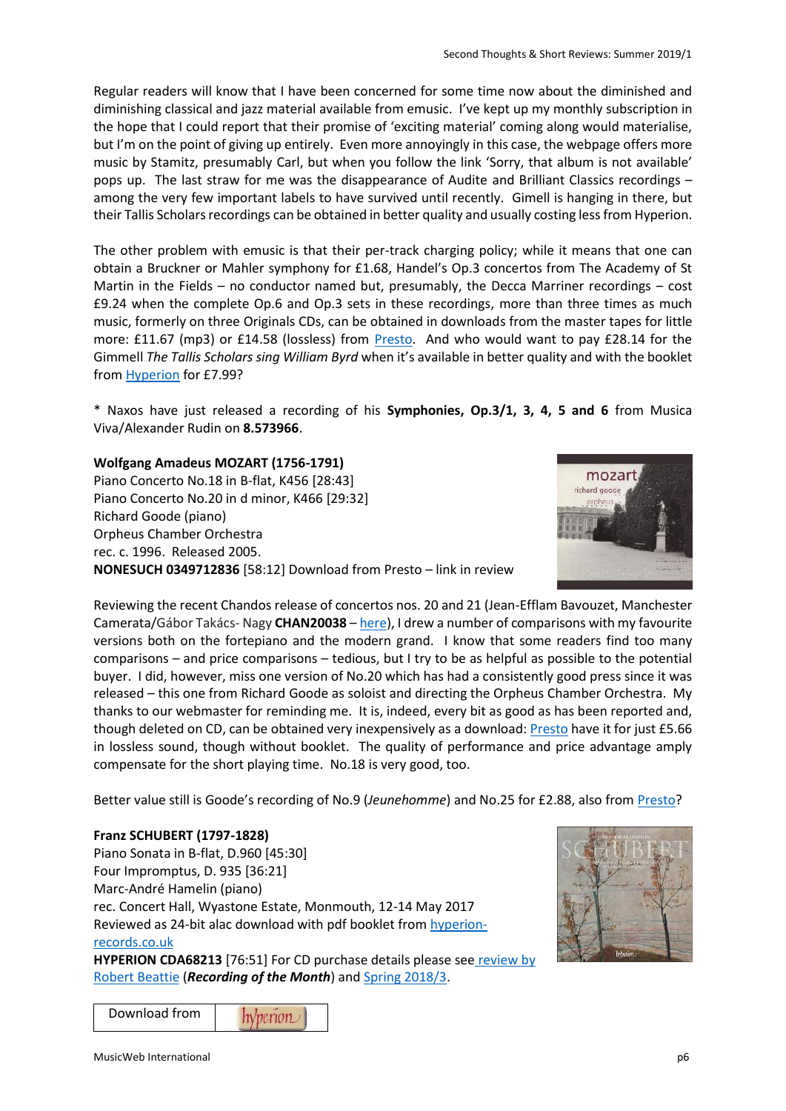Regular readers will know that I have been concerned for some time now about the diminished and diminishing classical and jazz material available from emusic. I've kept up my monthly subscription in the hope that I could report that their promise of 'exciting material' coming along would materialise, but I'm on the point of giving up entirely. Even more annoyingly in this case, the webpage offers more music by Stamitz, presumably Carl, but when you follow the link 'Sorry, that album is not available' pops up. The last straw for me was the disappearance of Audite and Brilliant Classics recordings – among the very few important labels to have survived until recently. Gimell is hanging in there, but their Tallis Scholars recordings can be obtained in better quality and usually costing less from Hyperion.

The other problem with emusic is that their per-track charging policy; while it means that one can obtain a Bruckner or Mahler symphony for £1.68, Handel's Op.3 concertos from The Academy of St Martin in the Fields – no conductor named but, presumably, the Decca Marriner recordings – cost £9.24 when the complete Op.6 and Op.3 sets in these recordings, more than three times as much music, formerly on three Originals CDs, can be obtained in downloads from the master tapes for little more: £11.67 (mp3) or £14.58 (lossless) from [Presto.](https://www.prestomusic.com/classical/products/7958662--handel-concerti-grossi) And who would want to pay £28.14 for the Gimmell *The Tallis Scholars sing William Byrd* when it's available in better quality and with the booklet from **Hyperion** for £7.99?

\* Naxos have just released a recording of his **Symphonies, Op.3/1, 3, 4, 5 and 6** from Musica Viva/Alexander Rudin on **8.573966**.

# **Wolfgang Amadeus MOZART (1756-1791)**

Piano Concerto No.18 in B-flat, K456 [28:43] Piano Concerto No.20 in d minor, K466 [29:32] Richard Goode (piano) Orpheus Chamber Orchestra rec. c. 1996. Released 2005. **NONESUCH 0349712836** [58:12] Download from Presto – link in review



Reviewing the recent Chandos release of concertos nos. 20 and 21 (Jean-Efflam Bavouzet, Manchester Camerata/Gábor Takács- Nagy **CHAN20038** – [here\)](http://musicweb-international.com/classrev/2019/Jul/Mozart_pcs_CHAN20083.htm), I drew a number of comparisons with my favourite versions both on the fortepiano and the modern grand. I know that some readers find too many comparisons – and price comparisons – tedious, but I try to be as helpful as possible to the potential buyer. I did, however, miss one version of No.20 which has had a consistently good press since it was released – this one from Richard Goode as soloist and directing the Orpheus Chamber Orchestra. My thanks to our webmaster for reminding me. It is, indeed, every bit as good as has been reported and, though deleted on CD, can be obtained very inexpensively as a download[: Presto](https://www.prestomusic.com/classical/products/8109680--mozart-piano-concertos-nos-18-20) have it for just £5.66 in lossless sound, though without booklet. The quality of performance and price advantage amply compensate for the short playing time. No.18 is very good, too.

Better value still is Goode's recording of No.9 (*Jeunehomme*) and No.25 for £2.88, also from [Presto?](https://www.prestomusic.com/classical/products/8109841--mozart-piano-concertos-nos-25-9)

# **Franz SCHUBERT (1797-1828)**

Piano Sonata in B-flat, D.960 [45:30] Four Impromptus, D. 935 [36:21] Marc-André Hamelin (piano) rec. Concert Hall, Wyastone Estate, Monmouth, 12-14 May 2017 Reviewed as 24-bit alac download with pdf booklet from [hyperion](https://www.hyperion-records.co.uk/dc.asp?dc=D_CDA68213)[records.co.uk](https://www.hyperion-records.co.uk/dc.asp?dc=D_CDA68213)

**HYPERION CDA68213** [76:51] For CD purchase details please see [review by](http://www.musicweb-international.com/classrev/2018/Jun/Schubert_piano_CDA68213.htm)  [Robert Beattie](http://www.musicweb-international.com/classrev/2018/Jun/Schubert_piano_CDA68213.htm) (*Recording of the Month*) an[d Spring 2018/3.](http://www.musicweb-international.com/classrev/2018/May/Spring_2018_3.pdf)



Download fromhyperion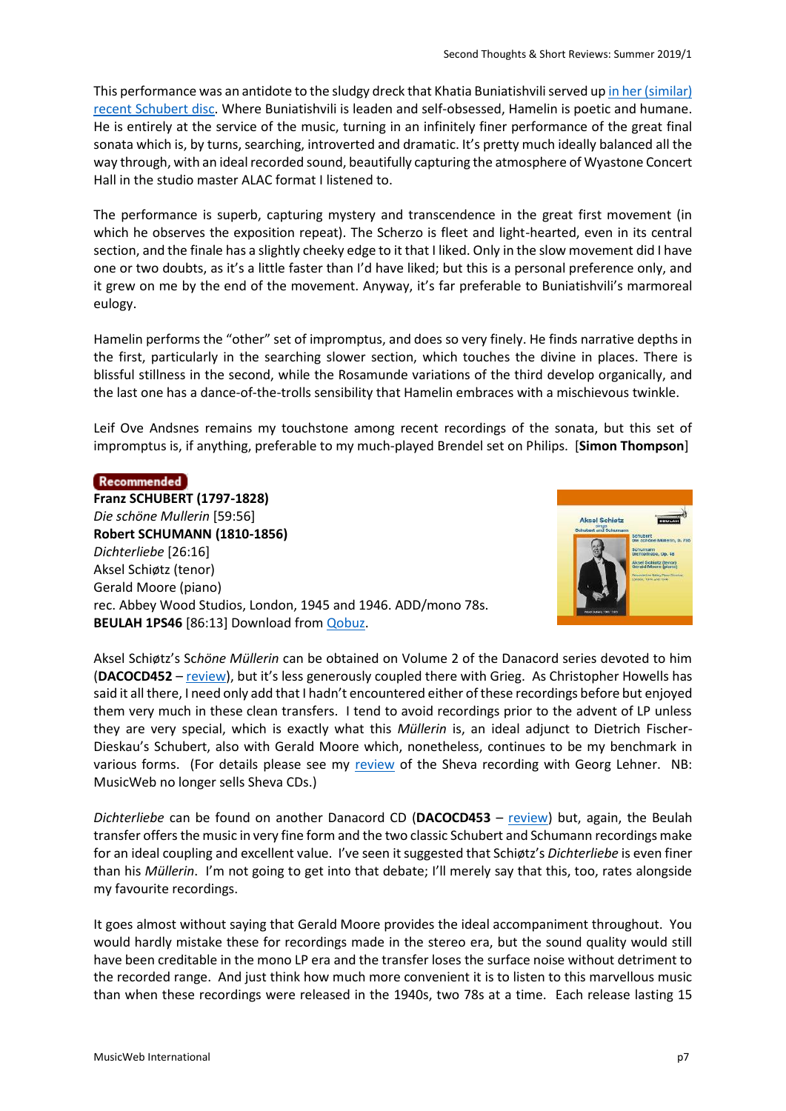This performance was an antidote to the sludgy dreck that Khatia Buniatishvili served u[p in her \(similar\)](http://www.musicweb-international.com/classrev/2019/May/Schubert_sonata_19075841202.htm)  [recent Schubert disc.](http://www.musicweb-international.com/classrev/2019/May/Schubert_sonata_19075841202.htm) Where Buniatishvili is leaden and self-obsessed, Hamelin is poetic and humane. He is entirely at the service of the music, turning in an infinitely finer performance of the great final sonata which is, by turns, searching, introverted and dramatic. It's pretty much ideally balanced all the way through, with an ideal recorded sound, beautifully capturing the atmosphere of Wyastone Concert Hall in the studio master ALAC format I listened to.

The performance is superb, capturing mystery and transcendence in the great first movement (in which he observes the exposition repeat). The Scherzo is fleet and light-hearted, even in its central section, and the finale has a slightly cheeky edge to it that I liked. Only in the slow movement did I have one or two doubts, as it's a little faster than I'd have liked; but this is a personal preference only, and it grew on me by the end of the movement. Anyway, it's far preferable to Buniatishvili's marmoreal eulogy.

Hamelin performs the "other" set of impromptus, and does so very finely. He finds narrative depths in the first, particularly in the searching slower section, which touches the divine in places. There is blissful stillness in the second, while the Rosamunde variations of the third develop organically, and the last one has a dance-of-the-trolls sensibility that Hamelin embraces with a mischievous twinkle.

Leif Ove Andsnes remains my touchstone among recent recordings of the sonata, but this set of impromptus is, if anything, preferable to my much-played Brendel set on Philips. [**Simon Thompson**]

#### Recommended

**Franz SCHUBERT (1797-1828)** *Die schöne Mullerin* [59:56] **Robert SCHUMANN (1810-1856)** *Dichterliebe* [26:16] Aksel Schiøtz (tenor) Gerald Moore (piano) rec. Abbey Wood Studios, London, 1945 and 1946. ADD/mono 78s. **BEULAH 1PS46** [86:13] Download fro[m Qobuz.](https://www.qobuz.com/gb-en/album/aksel-schioetz-sings-schubert-and-schumann-aksel-schioetz-and-gerald-moore/ja7z80g09ao4b)



Aksel Schiøtz's Sc*höne Müllerin* can be obtained on Volume 2 of the Danacord series devoted to him (**DACOCD452** – [review\)](http://www.musicweb-international.com/classrev/2003/Feb03/Schiotz2.htm), but it's less generously coupled there with Grieg. As Christopher Howells has said it all there, I need only add that I hadn't encountered either of these recordings before but enjoyed them very much in these clean transfers. I tend to avoid recordings prior to the advent of LP unless they are very special, which is exactly what this *Müllerin* is, an ideal adjunct to Dietrich Fischer-Dieskau's Schubert, also with Gerald Moore which, nonetheless, continues to be my benchmark in various forms. (For details please see my [review](http://www.musicweb-international.com/classrev/2016/Mar/Schubert_Mullerin_SH109.htm) of the Sheva recording with Georg Lehner. NB: MusicWeb no longer sells Sheva CDs.)

*Dichterliebe* can be found on another Danacord CD (**DACOCD453** – [review\)](http://www.musicweb-international.com/classrev/2003/Feb03/Schiotz3.htm) but, again, the Beulah transfer offers the music in very fine form and the two classic Schubert and Schumann recordings make for an ideal coupling and excellent value. I've seen it suggested that Schiøtz's *Dichterliebe* is even finer than his *Müllerin*. I'm not going to get into that debate; I'll merely say that this, too, rates alongside my favourite recordings.

It goes almost without saying that Gerald Moore provides the ideal accompaniment throughout. You would hardly mistake these for recordings made in the stereo era, but the sound quality would still have been creditable in the mono LP era and the transfer loses the surface noise without detriment to the recorded range. And just think how much more convenient it is to listen to this marvellous music than when these recordings were released in the 1940s, two 78s at a time. Each release lasting 15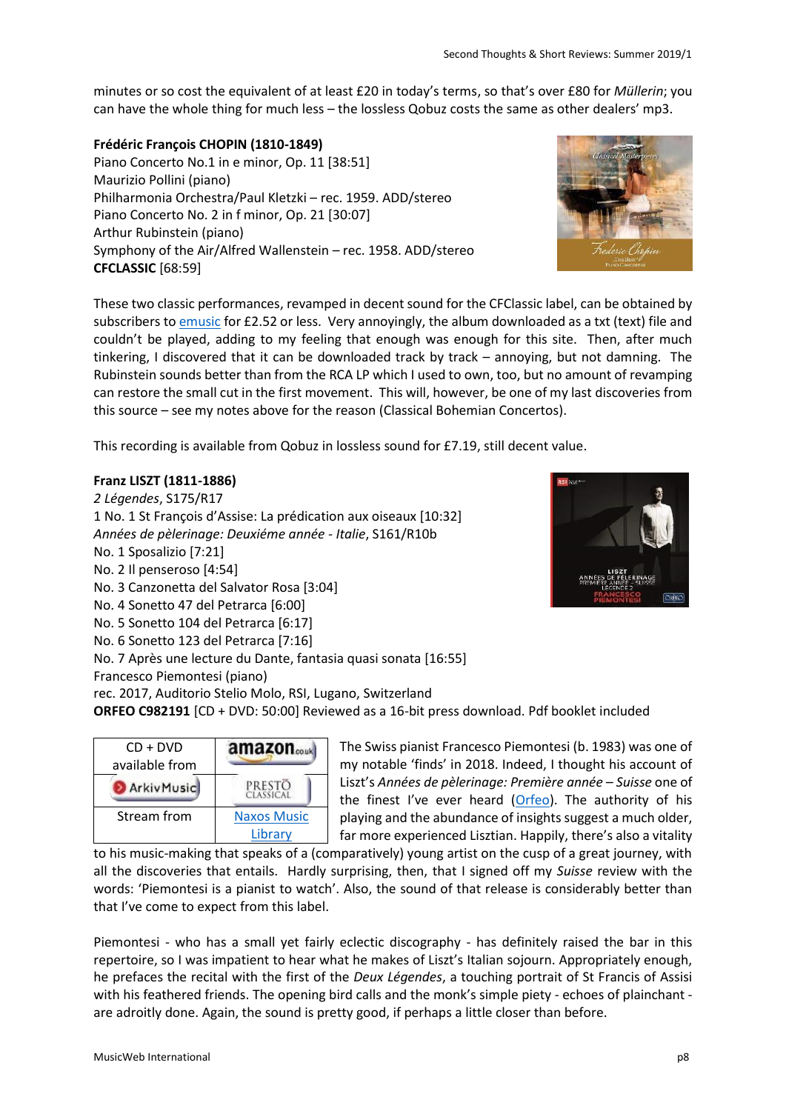minutes or so cost the equivalent of at least £20 in today's terms, so that's over £80 for *Müllerin*; you can have the whole thing for much less – the lossless Qobuz costs the same as other dealers' mp3.

### **Frédéric François CHOPIN (1810-1849)**

Piano Concerto No.1 in e minor, Op. 11 [38:51] Maurizio Pollini (piano) Philharmonia Orchestra/Paul Kletzki – rec. 1959. ADD/stereo Piano Concerto No. 2 in f minor, Op. 21 [30:07] Arthur Rubinstein (piano) Symphony of the Air/Alfred Wallenstein – rec. 1958. ADD/stereo **CFCLASSIC** [68:59]



These two classic performances, revamped in decent sound for the CFClassic label, can be obtained by subscribers t[o emusic](https://www.emusic.com/album/202612199/Arthur-Rubinstein-amp-Maurizio-Pollini/Frederic-Chopin-quotThe-Bestquot-Piano-Concertos-Classical-Masterpieces) for £2.52 or less. Very annoyingly, the album downloaded as a txt (text) file and couldn't be played, adding to my feeling that enough was enough for this site. Then, after much tinkering, I discovered that it can be downloaded track by track – annoying, but not damning. The Rubinstein sounds better than from the RCA LP which I used to own, too, but no amount of revamping can restore the small cut in the first movement. This will, however, be one of my last discoveries from this source – see my notes above for the reason (Classical Bohemian Concertos).

This recording is available from Qobuz in lossless sound for £7.19, still decent value.

### **Franz LISZT (1811-1886)**

*2 Légendes*, S175/R17 1 No. 1 St François d'Assise: La prédication aux oiseaux [10:32] *Années de pèlerinage: Deuxiéme année - Italie*, S161/R10b No. 1 Sposalizio [7:21] No. 2 Il penseroso [4:54] No. 3 Canzonetta del Salvator Rosa [3:04] No. 4 Sonetto 47 del Petrarca [6:00] No. 5 Sonetto 104 del Petrarca [6:17] No. 6 Sonetto 123 del Petrarca [7:16] No. 7 Après une lecture du Dante, fantasia quasi sonata [16:55]

Francesco Piemontesi (piano)

rec. 2017, Auditorio Stelio Molo, RSI, Lugano, Switzerland

**ORFEO C982191** [CD + DVD: 50:00] Reviewed as a 16-bit press download. Pdf booklet included

| $CD + DVD$<br>available from | amazon <sub>couk</sub> |
|------------------------------|------------------------|
| ArkivMusic                   | PRESTO<br>CLASSICAL    |
| Stream from                  | <b>Naxos Music</b>     |
|                              | Library                |

The Swiss pianist Francesco Piemontesi (b. 1983) was one of my notable 'finds' in 2018. Indeed, I thought his account of Liszt's *Années de pèlerinage: Première année – Suisse* one of the finest I've ever heard  $(Orfeo)$  $(Orfeo)$ . The authority of his playing and the abundance of insights suggest a much older, far more experienced Lisztian. Happily, there's also a vitality

to his music-making that speaks of a (comparatively) young artist on the cusp of a great journey, with all the discoveries that entails. Hardly surprising, then, that I signed off my *Suisse* review with the words: 'Piemontesi is a pianist to watch'. Also, the sound of that release is considerably better than that I've come to expect from this label.

Piemontesi - who has a small yet fairly eclectic discography - has definitely raised the bar in this repertoire, so I was impatient to hear what he makes of Liszt's Italian sojourn. Appropriately enough, he prefaces the recital with the first of the *Deux Légendes*, a touching portrait of St Francis of Assisi with his feathered friends. The opening bird calls and the monk's simple piety - echoes of plainchant are adroitly done. Again, the sound is pretty good, if perhaps a little closer than before.

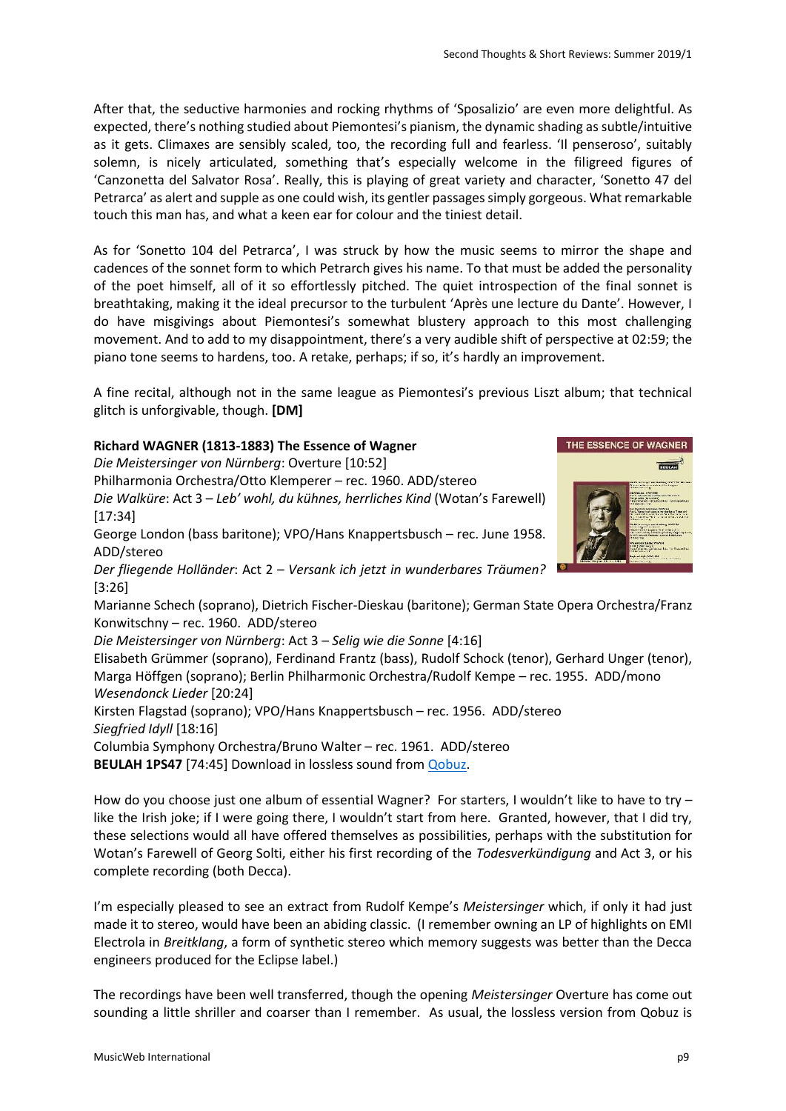After that, the seductive harmonies and rocking rhythms of 'Sposalizio' are even more delightful. As expected, there's nothing studied about Piemontesi's pianism, the dynamic shading as subtle/intuitive as it gets. Climaxes are sensibly scaled, too, the recording full and fearless. 'Il penseroso', suitably solemn, is nicely articulated, something that's especially welcome in the filigreed figures of 'Canzonetta del Salvator Rosa'. Really, this is playing of great variety and character, 'Sonetto 47 del Petrarca' as alert and supple as one could wish, its gentler passages simply gorgeous. What remarkable touch this man has, and what a keen ear for colour and the tiniest detail.

As for 'Sonetto 104 del Petrarca', I was struck by how the music seems to mirror the shape and cadences of the sonnet form to which Petrarch gives his name. To that must be added the personality of the poet himself, all of it so effortlessly pitched. The quiet introspection of the final sonnet is breathtaking, making it the ideal precursor to the turbulent 'Après une lecture du Dante'. However, I do have misgivings about Piemontesi's somewhat blustery approach to this most challenging movement. And to add to my disappointment, there's a very audible shift of perspective at 02:59; the piano tone seems to hardens, too. A retake, perhaps; if so, it's hardly an improvement.

A fine recital, although not in the same league as Piemontesi's previous Liszt album; that technical glitch is unforgivable, though. **[DM]**

# **Richard WAGNER (1813-1883) The Essence of Wagner**

*Die Meistersinger von Nürnberg*: Overture [10:52] Philharmonia Orchestra/Otto Klemperer – rec. 1960. ADD/stereo *Die Walküre*: Act 3 – *Leb' wohl, du kühnes, herrliches Kind* (Wotan's Farewell) [17:34] George London (bass baritone); VPO/Hans Knappertsbusch – rec. June 1958. ADD/stereo *Der fliegende Holländer*: Act 2 – *Versank ich jetzt in wunderbares Träumen?* [3:26] Marianne Schech (soprano), Dietrich Fischer-Dieskau (baritone); German State Opera Orchestra/Franz Konwitschny – rec. 1960. ADD/stereo *Die Meistersinger von Nürnberg*: Act 3 – *Selig wie die Sonne* [4:16] Elisabeth Grümmer (soprano), Ferdinand Frantz (bass), Rudolf Schock (tenor), Gerhard Unger (tenor), Marga Höffgen (soprano); Berlin Philharmonic Orchestra/Rudolf Kempe – rec. 1955. ADD/mono *Wesendonck Lieder* [20:24] Kirsten Flagstad (soprano); VPO/Hans Knappertsbusch – rec. 1956. ADD/stereo *Siegfried Idyll* [18:16] Columbia Symphony Orchestra/Bruno Walter – rec. 1961. ADD/stereo **BEULAH 1PS47** [74:45] Download in lossless sound from *Qobuz*.

How do you choose just one album of essential Wagner? For starters, I wouldn't like to have to try – like the Irish joke; if I were going there, I wouldn't start from here. Granted, however, that I did try, these selections would all have offered themselves as possibilities, perhaps with the substitution for Wotan's Farewell of Georg Solti, either his first recording of the *Todesverkündigung* and Act 3, or his complete recording (both Decca).

I'm especially pleased to see an extract from Rudolf Kempe's *Meistersinger* which, if only it had just made it to stereo, would have been an abiding classic. (I remember owning an LP of highlights on EMI Electrola in *Breitklang*, a form of synthetic stereo which memory suggests was better than the Decca engineers produced for the Eclipse label.)

The recordings have been well transferred, though the opening *Meistersinger* Overture has come out sounding a little shriller and coarser than I remember. As usual, the lossless version from Qobuz is

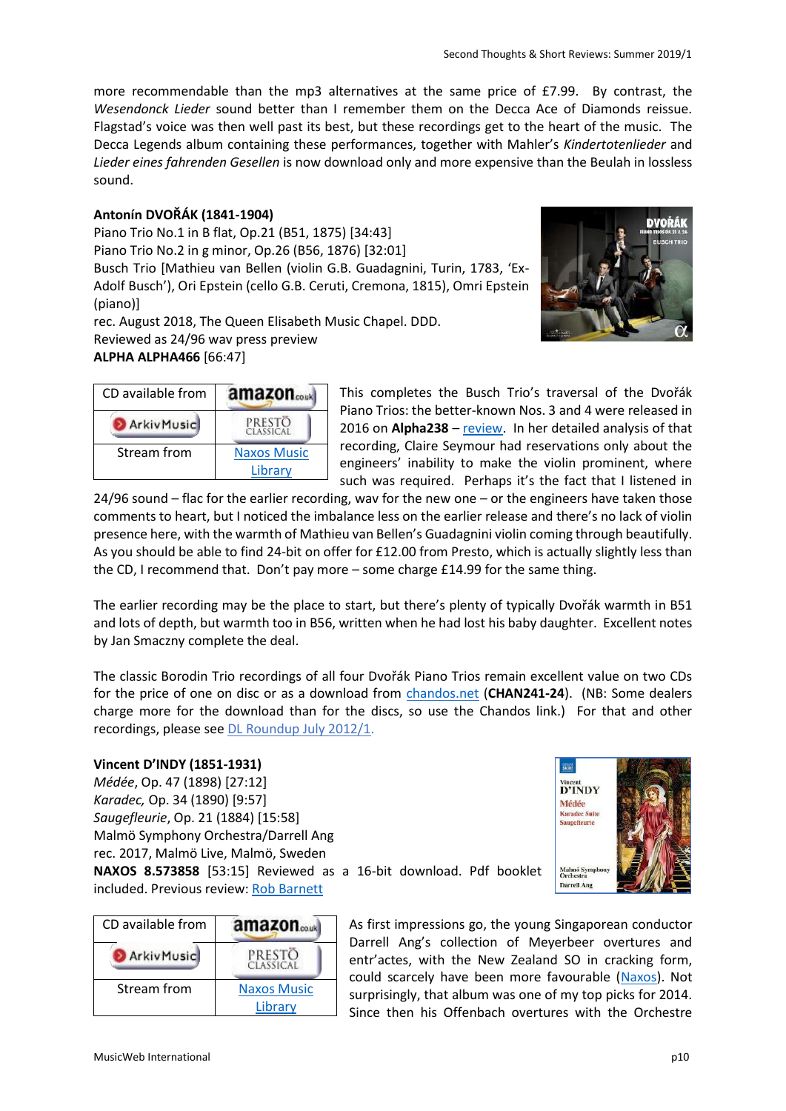DVOŘÁK

more recommendable than the mp3 alternatives at the same price of £7.99. By contrast, the *Wesendonck Lieder* sound better than I remember them on the Decca Ace of Diamonds reissue. Flagstad's voice was then well past its best, but these recordings get to the heart of the music. The Decca Legends album containing these performances, together with Mahler's *Kindertotenlieder* and *Lieder eines fahrenden Gesellen* is now download only and more expensive than the Beulah in lossless sound.

### **Antonín DVOŘÁK (1841-1904)**

Piano Trio No.1 in B flat, Op.21 (B51, 1875) [34:43] Piano Trio No.2 in g minor, Op.26 (B56, 1876) [32:01] Busch Trio [Mathieu van Bellen (violin G.B. Guadagnini, Turin, 1783, 'Ex-Adolf Busch'), Ori Epstein (cello G.B. Ceruti, Cremona, 1815), Omri Epstein (piano)]

rec. August 2018, The Queen Elisabeth Music Chapel. DDD. Reviewed as 24/96 wav press preview **ALPHA ALPHA466** [66:47]

| CD available from | amazon.co.uk        |
|-------------------|---------------------|
| ArkivMusic        | PRESTO<br>CLASSICAL |
| Stream from       | <b>Naxos Music</b>  |
|                   | Library             |

This completes the Busch Trio's traversal of the Dvořák Piano Trios: the better-known Nos. 3 and 4 were released in 2016 on **Alpha238** – [review.](http://www.musicweb-international.com/classrev/2016/Jul/Dvorak_trios_238.htm) In her detailed analysis of that recording, Claire Seymour had reservations only about the engineers' inability to make the violin prominent, where such was required. Perhaps it's the fact that I listened in

24/96 sound – flac for the earlier recording, wav for the new one – or the engineers have taken those comments to heart, but I noticed the imbalance less on the earlier release and there's no lack of violin presence here, with the warmth of Mathieu van Bellen's Guadagnini violin coming through beautifully. As you should be able to find 24-bit on offer for £12.00 from Presto, which is actually slightly less than the CD, I recommend that. Don't pay more – some charge £14.99 for the same thing.

The earlier recording may be the place to start, but there's plenty of typically Dvořák warmth in B51 and lots of depth, but warmth too in B56, written when he had lost his baby daughter. Excellent notes by Jan Smaczny complete the deal.

The classic Borodin Trio recordings of all four Dvořák Piano Trios remain excellent value on two CDs for the price of one on disc or as a download from [chandos.net](https://www.chandos.net/products/catalogue/CHAN%20241-24) (**CHAN241-24**). (NB: Some dealers charge more for the download than for the discs, so use the Chandos link.) For that and other recordings, please see [DL Roundup July 2012/1.](http://www.musicweb-international.com/classrev/2012/July12/DL_Roundup_July12_2.htm)

### **Vincent D'INDY (1851-1931)**

*Médée*, Op. 47 (1898) [27:12] *Karadec,* Op. 34 (1890) [9:57] *Saugefleurie*, Op. 21 (1884) [15:58] Malmö Symphony Orchestra/Darrell Ang rec. 2017, Malmö Live, Malmö, Sweden **NAXOS 8.573858** [53:15] Reviewed as a 16-bit download. Pdf booklet included. Previous review: [Rob Barnett](http://www.musicweb-international.com/classrev/2019/May/Indy_Medee_8573858.htm)



| CD available from | <b>amazon</b>                 |
|-------------------|-------------------------------|
| <b>ArkivMusic</b> | PRESTO<br>CLASSICAL           |
| Stream from       | <b>Naxos Music</b><br>Library |

As first impressions go, the young Singaporean conductor Darrell Ang's collection of Meyerbeer overtures and entr'actes, with the New Zealand SO in cracking form, could scarcely have been more favourable [\(Naxos\)](http://www.musicweb-international.com/classrev/2014/Jun14/Meyerbeer_overtures_8573195.htm). Not surprisingly, that album was one of my top picks for 2014. Since then his Offenbach overtures with the Orchestre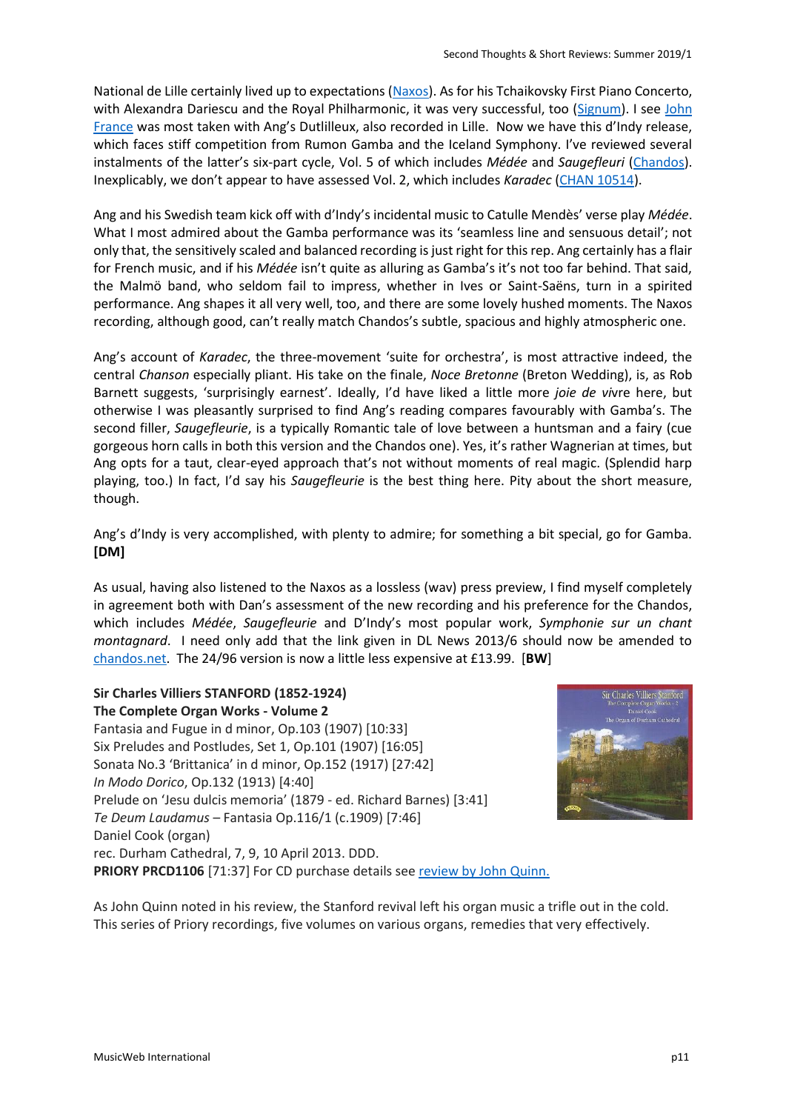National de Lille certainly lived up to expectations [\(Naxos\)](http://www.musicweb-international.com/classrev/2017/Nov/Offenbach_overtures_8573694.htm). As for his Tchaikovsky First Piano Concerto, with Alexandra Dariescu and the Royal Philharmonic, it was very successful, too [\(Signum\)](http://www.musicweb-international.com/classrev/2017/Feb/Tchaikovsky_PC1_SIGCD441.htm). I see John [France](http://www.musicweb-international.com/classrev/2017/Mar/Dutilleux_sy2_8573596.htm) was most taken with Ang's Dutlilleux, also recorded in Lille. Now we have this d'Indy release, which faces stiff competition from Rumon Gamba and the Iceland Symphony. I've reviewed several instalments of the latter's six-part cycle, Vol. 5 of which includes *Médée* and *Saugefleuri* [\(Chandos\)](http://www.musicweb-international.com/classrev/2013/Apr13/DL_News_2013_6.htm). Inexplicably, we don't appear to have assessed Vol. 2, which includes *Karadec* [\(CHAN 10514\)](https://www.chandos.net/products/catalogue/CHAN%2010514).

Ang and his Swedish team kick off with d'Indy's incidental music to Catulle Mendès' verse play *Médée*. What I most admired about the Gamba performance was its 'seamless line and sensuous detail'; not only that, the sensitively scaled and balanced recording is just right for this rep. Ang certainly has a flair for French music, and if his *Médée* isn't quite as alluring as Gamba's it's not too far behind. That said, the Malmö band, who seldom fail to impress, whether in Ives or Saint-Saëns, turn in a spirited performance. Ang shapes it all very well, too, and there are some lovely hushed moments. The Naxos recording, although good, can't really match Chandos's subtle, spacious and highly atmospheric one.

Ang's account of *Karadec*, the three-movement 'suite for orchestra', is most attractive indeed, the central *Chanson* especially pliant. His take on the finale, *Noce Bretonne* (Breton Wedding), is, as Rob Barnett suggests, 'surprisingly earnest'. Ideally, I'd have liked a little more *joie de vi*vre here, but otherwise I was pleasantly surprised to find Ang's reading compares favourably with Gamba's. The second filler, *Saugefleurie*, is a typically Romantic tale of love between a huntsman and a fairy (cue gorgeous horn calls in both this version and the Chandos one). Yes, it's rather Wagnerian at times, but Ang opts for a taut, clear-eyed approach that's not without moments of real magic. (Splendid harp playing, too.) In fact, I'd say his *Saugefleurie* is the best thing here. Pity about the short measure, though.

Ang's d'Indy is very accomplished, with plenty to admire; for something a bit special, go for Gamba. **[DM]**

As usual, having also listened to the Naxos as a lossless (wav) press preview, I find myself completely in agreement both with Dan's assessment of the new recording and his preference for the Chandos, which includes *Médée*, *Saugefleurie* and D'Indy's most popular work, *Symphonie sur un chant montagnard*. I need only add that the link given in DL News 2013/6 should now be amended to [chandos.net.](https://www.chandos.net/products/catalogue/CHAN%2010760) The 24/96 version is now a little less expensive at £13.99. [**BW**]

### **Sir Charles Villiers STANFORD (1852-1924) The Complete Organ Works - Volume 2**

Fantasia and Fugue in d minor, Op.103 (1907) [10:33] Six Preludes and Postludes, Set 1, Op.101 (1907) [16:05] Sonata No.3 'Brittanica' in d minor, Op.152 (1917) [27:42] *In Modo Dorico*, Op.132 (1913) [4:40] Prelude on 'Jesu dulcis memoria' (1879 - ed. Richard Barnes) [3:41] *Te Deum Laudamus* – Fantasia Op.116/1 (c.1909) [7:46] Daniel Cook (organ) rec. Durham Cathedral, 7, 9, 10 April 2013. DDD. **PRIORY PRCD1106** [71:37] For CD purchase details see [review by John Quinn.](http://www.musicweb-international.com/classrev/2016/Jun/Stanford_organ_v2_PRCD1106.htm)



As John Quinn noted in his review, the Stanford revival left his organ music a trifle out in the cold. This series of Priory recordings, five volumes on various organs, remedies that very effectively.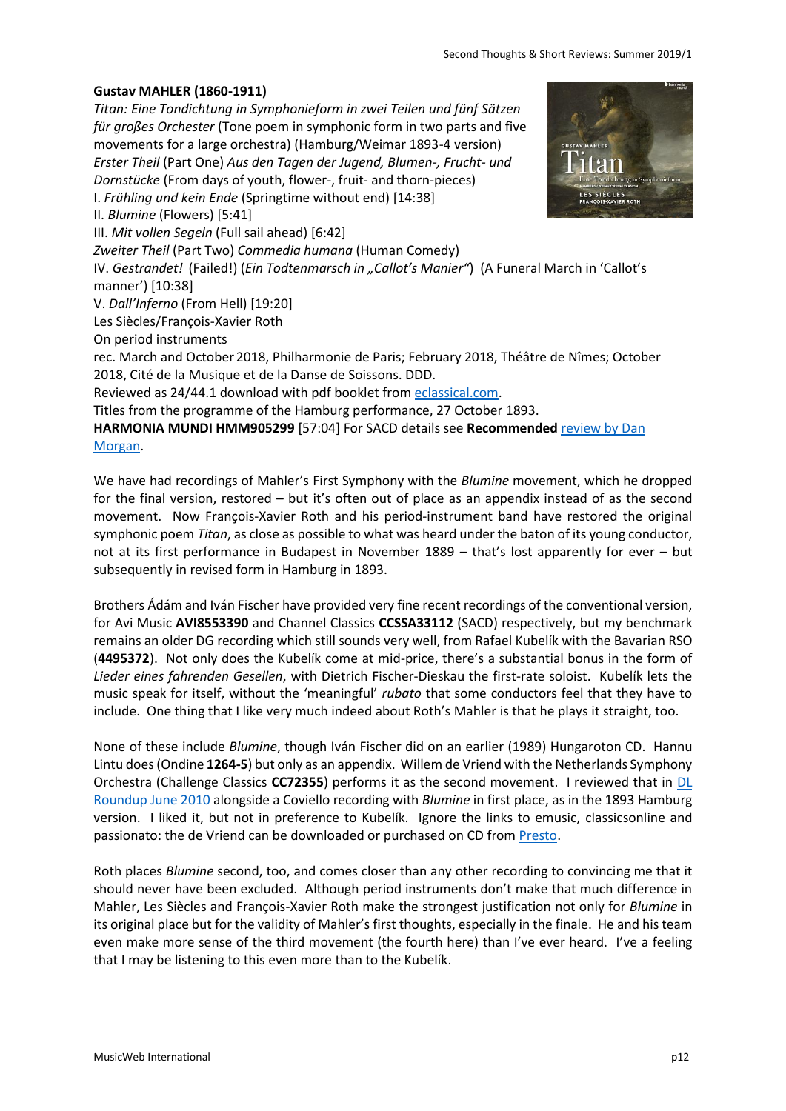### **Gustav MAHLER (1860-1911)**

*Titan: Eine Tondichtung in Symphonieform in zwei Teilen und fünf Sätzen für großes Orchester* (Tone poem in symphonic form in two parts and five movements for a large orchestra) (Hamburg/Weimar 1893-4 version) *Erster Theil* (Part One) *Aus den Tagen der Jugend, Blumen-, Frucht- und Dornstücke* (From days of youth, flower-, fruit- and thorn-pieces) I. *Frühling und kein Ende* (Springtime without end) [14:38] II. *Blumine* (Flowers) [5:41] III. *Mit vollen Segeln* (Full sail ahead) [6:42] *Zweiter Theil* (Part Two) *Commedia humana* (Human Comedy) IV. Gestrandet! (Failed!) (*Ein Todtenmarsch in "Callot's Manier"*) (A Funeral March in 'Callot's manner') [10:38] V. *Dall'Inferno* (From Hell) [19:20] Les Siècles/François-Xavier Roth On period instruments rec. March and October 2018, Philharmonie de Paris; February 2018, Théâtre de Nîmes; October 2018, Cité de la Musique et de la Danse de Soissons. DDD. Reviewed as 24/44.1 download with pdf booklet from [eclassical.com.](https://www.eclassical.com/harmonia-mundi/mahler-symphony-no-1-in-d-major-1.html) Titles from the programme of the Hamburg performance, 27 October 1893.

**HARMONIA MUNDI HMM905299** [57:04] For SACD details see **Recommended** [review by Dan](http://musicweb-international.com/classrev/2019/Jul/Mahler_titan_HMM905299.htm)  [Morgan.](http://musicweb-international.com/classrev/2019/Jul/Mahler_titan_HMM905299.htm)

We have had recordings of Mahler's First Symphony with the *Blumine* movement, which he dropped for the final version, restored – but it's often out of place as an appendix instead of as the second movement. Now François-Xavier Roth and his period-instrument band have restored the original symphonic poem *Titan*, as close as possible to what was heard under the baton of its young conductor, not at its first performance in Budapest in November 1889 – that's lost apparently for ever – but subsequently in revised form in Hamburg in 1893.

Brothers Ádám and Iván Fischer have provided very fine recent recordings of the conventional version, for Avi Music **AVI8553390** and Channel Classics **CCSSA33112** (SACD) respectively, but my benchmark remains an older DG recording which still sounds very well, from Rafael Kubelík with the Bavarian RSO (**4495372**). Not only does the Kubelík come at mid-price, there's a substantial bonus in the form of *Lieder eines fahrenden Gesellen*, with Dietrich Fischer-Dieskau the first-rate soloist. Kubelík lets the music speak for itself, without the 'meaningful' *rubato* that some conductors feel that they have to include. One thing that I like very much indeed about Roth's Mahler is that he plays it straight, too.

None of these include *Blumine*, though Iván Fischer did on an earlier (1989) Hungaroton CD. Hannu Lintu does (Ondine **1264-5**) but only as an appendix. Willem de Vriend with the Netherlands Symphony Orchestra (Challenge Classics **CC72355**) performs it as the second movement. I reviewed that in [DL](http://www.musicweb-international.com/classrev/2010/June10/June10_Download_Roundup.htm)  [Roundup June 2010](http://www.musicweb-international.com/classrev/2010/June10/June10_Download_Roundup.htm) alongside a Coviello recording with *Blumine* in first place, as in the 1893 Hamburg version. I liked it, but not in preference to Kubelík. Ignore the links to emusic, classicsonline and passionato: the de Vriend can be downloaded or purchased on CD from [Presto.](https://www.prestomusic.com/classical/products/7983695--mahler-symphony-no-1-blumine)

Roth places *Blumine* second, too, and comes closer than any other recording to convincing me that it should never have been excluded. Although period instruments don't make that much difference in Mahler, Les Siècles and François-Xavier Roth make the strongest justification not only for *Blumine* in its original place but for the validity of Mahler's first thoughts, especially in the finale. He and his team even make more sense of the third movement (the fourth here) than I've ever heard. I've a feeling that I may be listening to this even more than to the Kubelík.

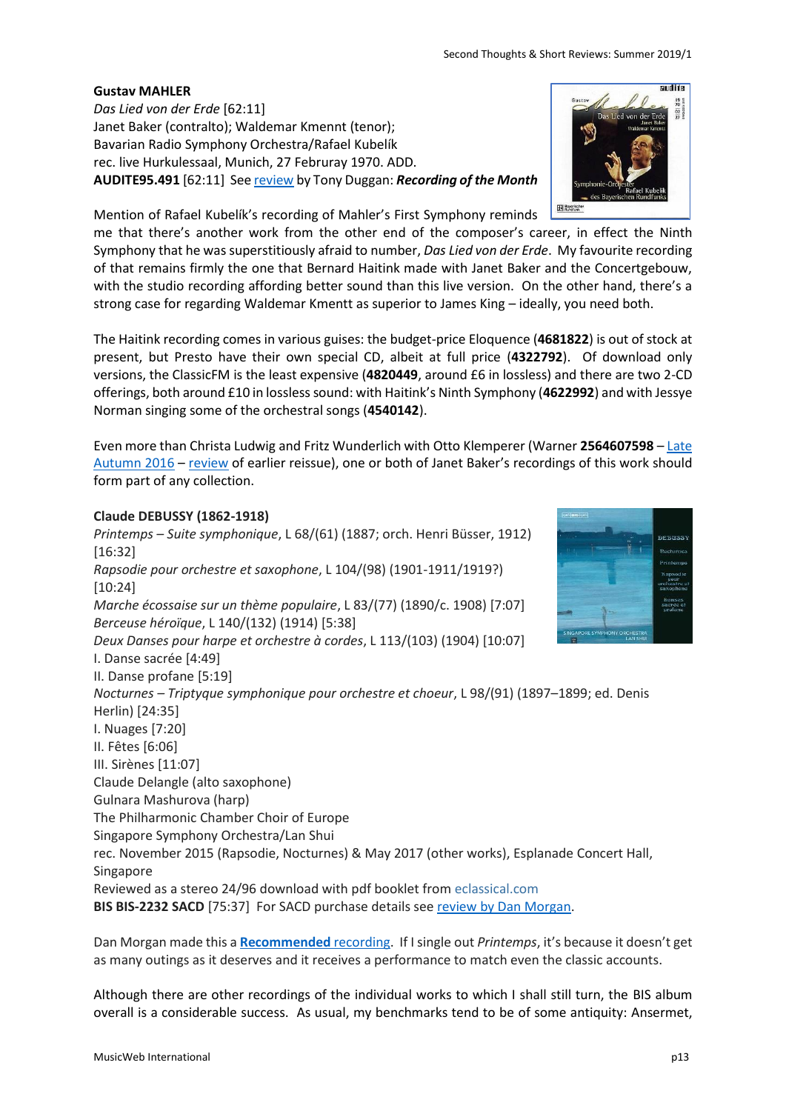# **Gustav MAHLER**

*Das Lied von der Erde* [62:11] Janet Baker (contralto); Waldemar Kmennt (tenor); Bavarian Radio Symphony Orchestra/Rafael Kubelík rec. live Hurkulessaal, Munich, 27 Februray 1970. ADD. **AUDITE95.491** [62:11] Se[e review](http://www.musicweb-international.com/classrev/2003/May03/dlvde_Kubelik.htm) by Tony Duggan: *Recording of the Month*

Mention of Rafael Kubelík's recording of Mahler's First Symphony reminds

me that there's another work from the other end of the composer's career, in effect the Ninth Symphony that he was superstitiously afraid to number, *Das Lied von der Erde*. My favourite recording of that remains firmly the one that Bernard Haitink made with Janet Baker and the Concertgebouw, with the studio recording affording better sound than this live version. On the other hand, there's a strong case for regarding Waldemar Kmentt as superior to James King – ideally, you need both.

The Haitink recording comes in various guises: the budget-price Eloquence (**4681822**) is out of stock at present, but Presto have their own special CD, albeit at full price (**4322792**). Of download only versions, the ClassicFM is the least expensive (**4820449**, around £6 in lossless) and there are two 2-CD offerings, both around £10 in losslesssound: with Haitink's Ninth Symphony (**4622992**) and with Jessye Norman singing some of the orchestral songs (**4540142**).

Even more than Christa Ludwig and Fritz Wunderlich with Otto Klemperer (Warner **2564607598** – [Late](http://www.musicweb-international.com/classrev/2016/Dec/Retrospective_late_autumn16.htm)  [Autumn 2016](http://www.musicweb-international.com/classrev/2016/Dec/Retrospective_late_autumn16.htm) – [review](http://www.musicweb-international.com/classrev/2003/July03/Mahler_Erde_Klemperer.htm) of earlier reissue), one or both of Janet Baker's recordings of this work should form part of any collection.

# **Claude DEBUSSY (1862-1918)**

*Printemps – Suite symphonique*, L 68/(61) (1887; orch. Henri Büsser, 1912) [16:32] *Rapsodie pour orchestre et saxophone*, L 104/(98) (1901-1911/1919?) [10:24] *Marche écossaise sur un thème populaire*, L 83/(77) (1890/c. 1908) [7:07] *Berceuse héroïque*, L 140/(132) (1914) [5:38] *Deux Danses pour harpe et orchestre à cordes*, L 113/(103) (1904) [10:07] I. Danse sacrée [4:49] II. Danse profane [5:19] *Nocturnes – Triptyque symphonique pour orchestre et choeur*, L 98/(91) (1897–1899; ed. Denis Herlin) [24:35] I. Nuages [7:20] II. Fêtes [6:06] III. Sirènes [11:07] Claude Delangle (alto saxophone) Gulnara Mashurova (harp) The Philharmonic Chamber Choir of Europe Singapore Symphony Orchestra/Lan Shui rec. November 2015 (Rapsodie, Nocturnes) & May 2017 (other works), Esplanade Concert Hall, Singapore Reviewed as a stereo 24/96 download with pdf booklet from [eclassical.com](https://www.eclassical.com/conductors/shui-lan/debussy-nocturnes-and-other-works.html)  **BIS BIS-2232 SACD** [75:37] For SACD purchase details see [review by Dan Morgan.](http://www.musicweb-international.com/classrev/2019/Jul/Debussy_nocturnes_BIS2232.htm)

Dan Morgan made this a **[Recommended](http://www.musicweb-international.com/classrev/2019/Jul/Debussy_nocturnes_BIS2232.htm)** recording. If I single out *Printemps*, it's because it doesn't get as many outings as it deserves and it receives a performance to match even the classic accounts.

Although there are other recordings of the individual works to which I shall still turn, the BIS album overall is a considerable success. As usual, my benchmarks tend to be of some antiquity: Ansermet,



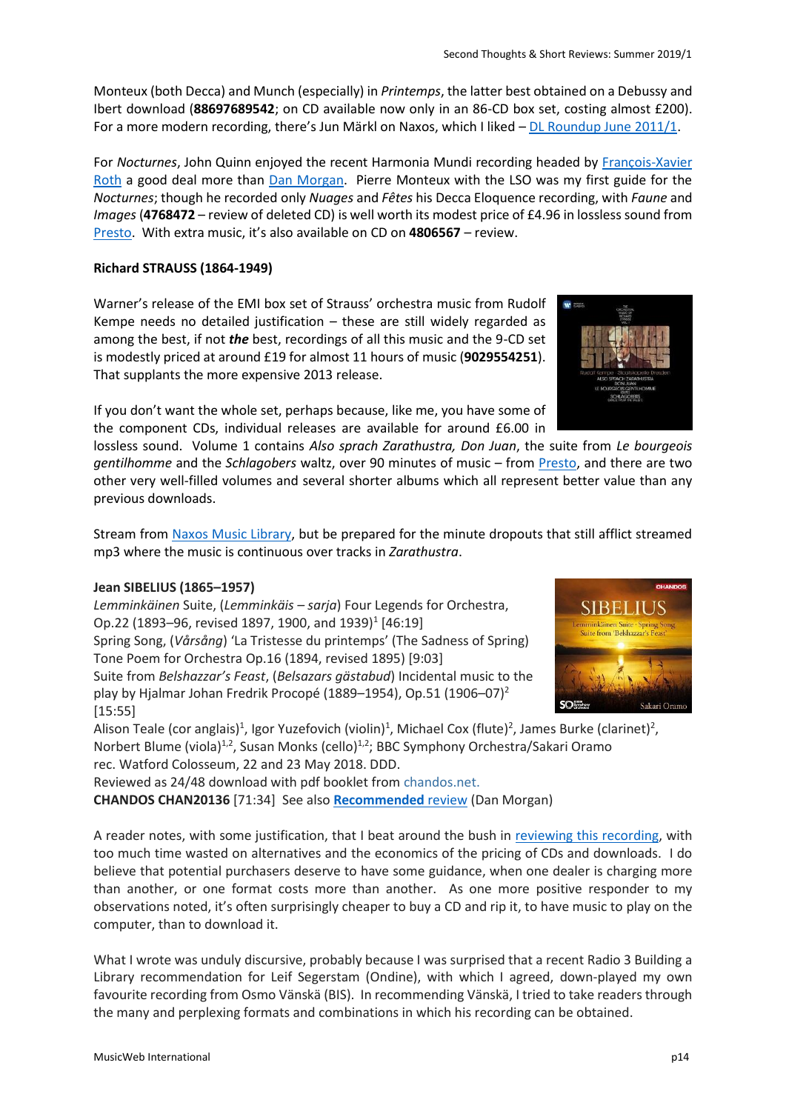Monteux (both Decca) and Munch (especially) in *Printemps*, the latter best obtained on a Debussy and Ibert download (**88697689542**; on CD available now only in an 86-CD box set, costing almost £200). For a more modern recording, there's Jun Märkl on Naxos, which I liked – [DL Roundup June 2011/1.](http://www.musicweb-international.com/classrev/2011/June11/June11_1_DL_Roundup.htm)

For *Nocturnes*, John Quinn enjoyed the recent Harmonia Mundi recording headed by [François-Xavier](http://www.musicweb-international.com/classrev/2019/Jan/Debussy_nocturnes_HMM905291.htm)  [Roth](http://www.musicweb-international.com/classrev/2019/Jan/Debussy_nocturnes_HMM905291.htm) a good deal more than [Dan Morgan.](http://www.musicweb-international.com/classrev/2018/DEC/Debussy_nocturnes_HMM905291.htm) Pierre Monteux with the LSO was my first guide for the *Nocturnes*; though he recorded only *Nuages* and *Fêtes* his Decca Eloquence recording, with *Faune* and *Images* (**4768472** – review of deleted CD) is well worth its modest price of £4.96 in lossless sound from [Presto](https://www.prestomusic.com/classical/products/7951881--debussy-orchestral-works). With extra music, it's also available on CD on **4806567** – review.

# **Richard STRAUSS (1864-1949)**

Warner's release of the EMI box set of Strauss' orchestra music from Rudolf Kempe needs no detailed justification – these are still widely regarded as among the best, if not *the* best, recordings of all this music and the 9-CD set is modestly priced at around £19 for almost 11 hours of music (**9029554251**). That supplants the more expensive 2013 release.

If you don't want the whole set, perhaps because, like me, you have some of the component CDs, individual releases are available for around £6.00 in

lossless sound. Volume 1 contains *Also sprach Zarathustra, Don Juan*, the suite from *Le bourgeois gentilhomme* and the *Schlagobers* waltz, over 90 minutes of music – from [Presto,](https://www.prestomusic.com/classical/products/8646477--strauss-also-sprach-zarathustra-don-juan-suite-from-le-bourgeois-gentilhomme) and there are two other very well-filled volumes and several shorter albums which all represent better value than any previous downloads.

Stream from [Naxos Music Library,](https://www.nml3.naxosmusiclibrary.com/catalogue/190295487201) but be prepared for the minute dropouts that still afflict streamed mp3 where the music is continuous over tracks in *Zarathustra*.

# **Jean SIBELIUS (1865–1957)**

*Lemminkäinen* Suite, (*Lemminkäis – sarja*) Four Legends for Orchestra, Op.22 (1893–96, revised 1897, 1900, and 1939)<sup>1</sup> [46:19] Spring Song, (*Vårsång*) 'La Tristesse du printemps' (The Sadness of Spring) Tone Poem for Orchestra Op.16 (1894, revised 1895) [9:03] Suite from *Belshazzar's Feast*, (*Belsazars gästabud*) Incidental music to the play by Hjalmar Johan Fredrik Procopé (1889–1954), Op.51 (1906–07)<sup>2</sup> [15:55]

Alison Teale (cor anglais)<sup>1</sup>, Igor Yuzefovich (violin)<sup>1</sup>, Michael Cox (flute)<sup>2</sup>, James Burke (clarinet)<sup>2</sup>, Norbert Blume (viola)<sup>1,2</sup>, Susan Monks (cello)<sup>1,2</sup>; BBC Symphony Orchestra/Sakari Oramo rec. Watford Colosseum, 22 and 23 May 2018. DDD.

Reviewed as 24/48 download with pdf booklet fro[m chandos.net.](https://www.chandos.net/products/catalogue/CHAN%2020136)

**CHANDOS CHAN20136** [71:34] See also **[Recommended](http://www.musicweb-international.com/classrev/2019/Jun/Sibelius_Lemminkainen_CHAN20136.htm)** review (Dan Morgan)

A reader notes, with some justification, that I beat around the bush in [reviewing this recording,](http://musicweb-international.com/classrev/2019/May/Sibelius_lemminkainen_CHAN20136.htm) with too much time wasted on alternatives and the economics of the pricing of CDs and downloads. I do believe that potential purchasers deserve to have some guidance, when one dealer is charging more than another, or one format costs more than another. As one more positive responder to my observations noted, it's often surprisingly cheaper to buy a CD and rip it, to have music to play on the computer, than to download it.

What I wrote was unduly discursive, probably because I was surprised that a recent Radio 3 Building a Library recommendation for Leif Segerstam (Ondine), with which I agreed, down-played my own favourite recording from Osmo Vänskä (BIS). In recommending Vänskä, I tried to take readers through the many and perplexing formats and combinations in which his recording can be obtained.



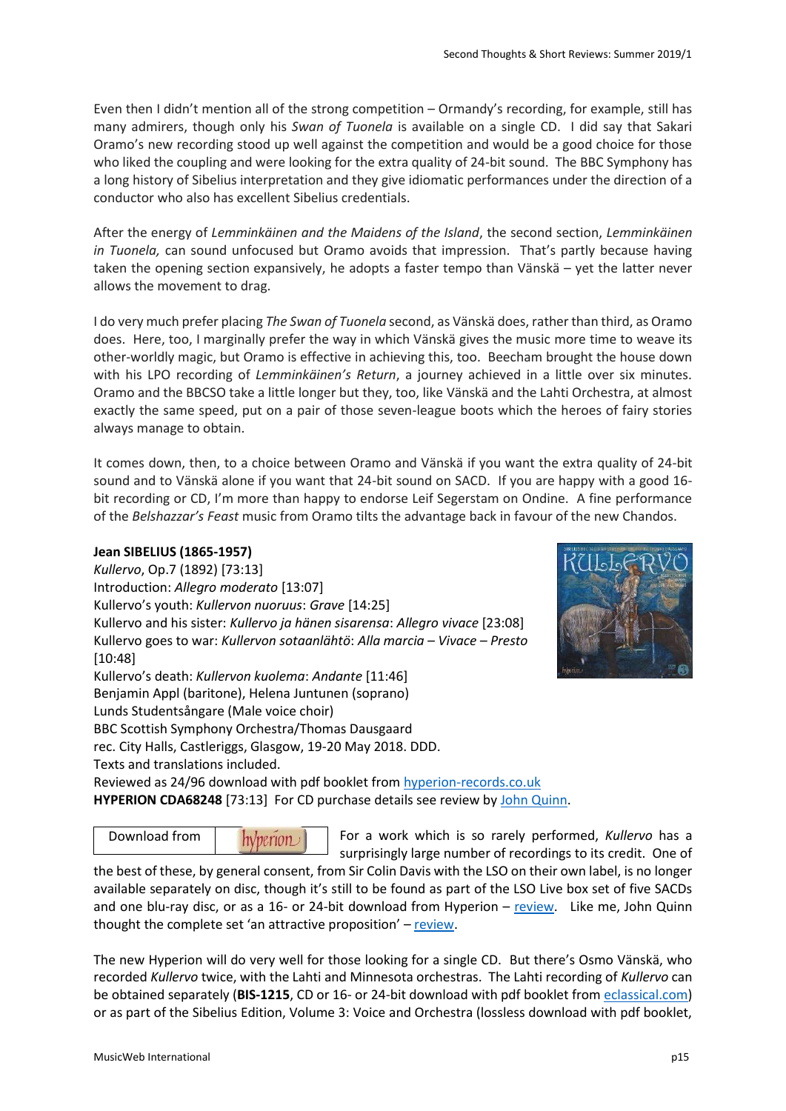Even then I didn't mention all of the strong competition – Ormandy's recording, for example, still has many admirers, though only his *Swan of Tuonela* is available on a single CD. I did say that Sakari Oramo's new recording stood up well against the competition and would be a good choice for those who liked the coupling and were looking for the extra quality of 24-bit sound. The BBC Symphony has a long history of Sibelius interpretation and they give idiomatic performances under the direction of a conductor who also has excellent Sibelius credentials.

After the energy of *Lemminkäinen and the Maidens of the Island*, the second section, *Lemminkäinen in Tuonela,* can sound unfocused but Oramo avoids that impression. That's partly because having taken the opening section expansively, he adopts a faster tempo than Vänskä – yet the latter never allows the movement to drag.

I do very much prefer placing *The Swan of Tuonela* second, as Vänskä does, rather than third, as Oramo does. Here, too, I marginally prefer the way in which Vänskä gives the music more time to weave its other-worldly magic, but Oramo is effective in achieving this, too. Beecham brought the house down with his LPO recording of *Lemminkäinen's Return*, a journey achieved in a little over six minutes. Oramo and the BBCSO take a little longer but they, too, like Vänskä and the Lahti Orchestra, at almost exactly the same speed, put on a pair of those seven-league boots which the heroes of fairy stories always manage to obtain.

It comes down, then, to a choice between Oramo and Vänskä if you want the extra quality of 24-bit sound and to Vänskä alone if you want that 24-bit sound on SACD. If you are happy with a good 16 bit recording or CD, I'm more than happy to endorse Leif Segerstam on Ondine. A fine performance of the *Belshazzar's Feast* music from Oramo tilts the advantage back in favour of the new Chandos.

### **Jean SIBELIUS (1865-1957)**

*Kullervo*, Op.7 (1892) [73:13] Introduction: *Allegro moderato* [13:07] Kullervo's youth: *Kullervon nuoruus*: *Grave* [14:25] Kullervo and his sister: *Kullervo ja hänen sisarensa*: *Allegro vivace* [23:08] Kullervo goes to war: *Kullervon sotaanlähtö*: *Alla marcia – Vivace – Presto* [10:48] Kullervo's death: *Kullervon kuolema*: *Andante* [11:46] Benjamin Appl (baritone), Helena Juntunen (soprano) Lunds Studentsångare (Male voice choir)

BBC Scottish Symphony Orchestra/Thomas Dausgaard

rec. City Halls, Castleriggs, Glasgow, 19-20 May 2018. DDD.

Texts and translations included.

Reviewed as 24/96 download with pdf booklet fro[m hyperion-records.co.uk](https://www.hyperion-records.co.uk/dc.asp?dc=D_CDA68248) **HYPERION CDA68248** [73:13] For CD purchase details see review by [John Quinn.](http://musicweb-international.com/classrev/2019/Jul/Sibelius_Kullervo_CDA68248.htm)

Download from $hVperion$ 

For a work which is so rarely performed, *Kullervo* has a surprisingly large number of recordings to its credit. One of

the best of these, by general consent, from Sir Colin Davis with the LSO on their own label, is no longer available separately on disc, though it's still to be found as part of the LSO Live box set of five SACDs and one blu-ray disc, or as a 16- or 24-bit download from Hyperion – [review.](http://www.musicweb-international.com/classrev/2017/Jan/Sibelius_sys_LSO0675.htm) Like me, John Quinn thought the complete set 'an attractive proposition' – [review.](http://www.musicweb-international.com/classrev/2017/Feb/Sibelius_sys_LSO0675.htm)

The new Hyperion will do very well for those looking for a single CD. But there's Osmo Vänskä, who recorded *Kullervo* twice, with the Lahti and Minnesota orchestras. The Lahti recording of *Kullervo* can be obtained separately (**BIS-1215**, CD or 16- or 24-bit download with pdf booklet fro[m eclassical.com\)](https://www.eclassical.com/conductors/vanska-osmo/sibelius-kullervo-op7.html) or as part of the Sibelius Edition, Volume 3: Voice and Orchestra (lossless download with pdf booklet,

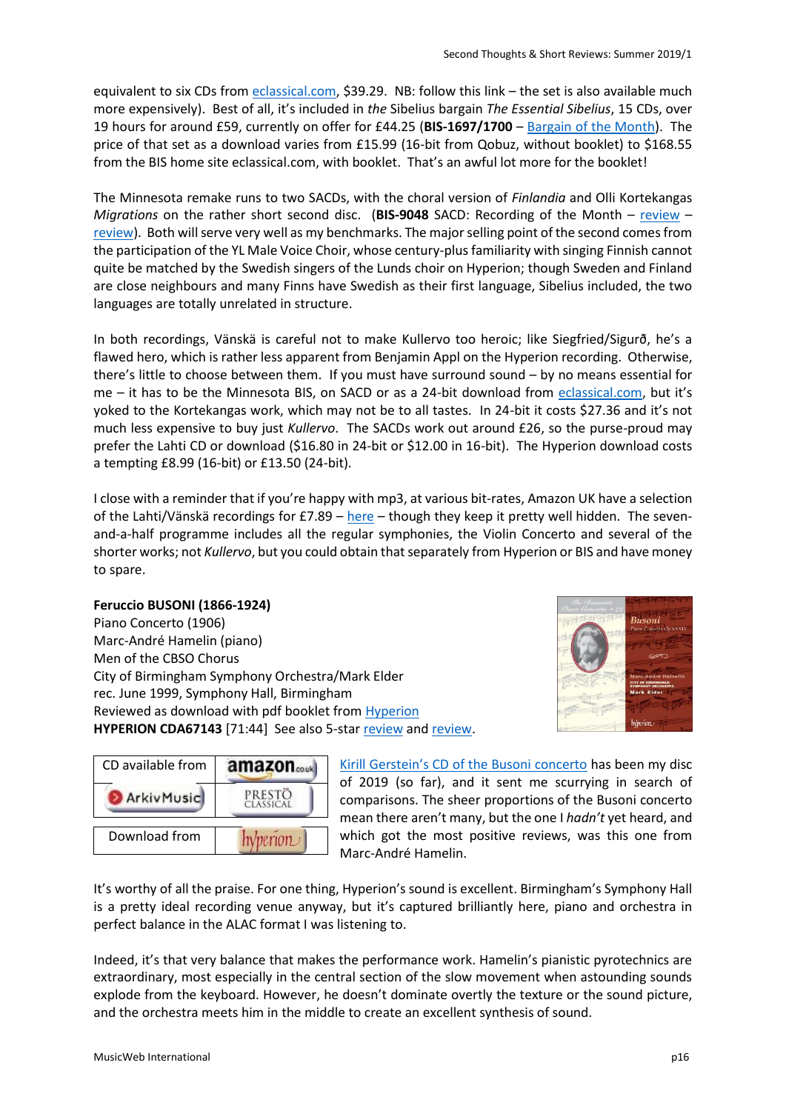equivalent to six CDs from [eclassical.com,](https://www.eclassical.com/labels/bis/the-sibelius-edition-vol-3-2.html) \$39.29. NB: follow this link – the set is also available much more expensively). Best of all, it's included in *the* Sibelius bargain *The Essential Sibelius*, 15 CDs, over 19 hours for around £59, currently on offer for £44.25 (**BIS-1697/1700** – [Bargain of the Month\)](http://www.musicweb-international.com/classrev/2007/Jan07/Essential_Sibelius_BISCD16971700.htm). The price of that set as a download varies from £15.99 (16-bit from Qobuz, without booklet) to \$168.55 from the BIS home site eclassical.com, with booklet. That's an awful lot more for the booklet!

The Minnesota remake runs to two SACDs, with the choral version of *Finlandia* and Olli Kortekangas *Migrations* on the rather short second disc. (**BIS-9048** SACD: Recording of the Month – [review](http://www.musicweb-international.com/classrev/2017/Mar/Sibelius_Kullervo_BIS9048.htm) – [review\)](http://www.musicweb-international.com/classrev/2017/Apr/Sibelius_Kullervo_BIS9048.htm). Both will serve very well as my benchmarks. The major selling point of the second comes from the participation of the YL Male Voice Choir, whose century-plus familiarity with singing Finnish cannot quite be matched by the Swedish singers of the Lunds choir on Hyperion; though Sweden and Finland are close neighbours and many Finns have Swedish as their first language, Sibelius included, the two languages are totally unrelated in structure.

In both recordings, Vänskä is careful not to make Kullervo too heroic; like Siegfried/Sigurð, he's a flawed hero, which is rather less apparent from Benjamin Appl on the Hyperion recording. Otherwise, there's little to choose between them. If you must have surround sound – by no means essential for me – it has to be the Minnesota BIS, on SACD or as a 24-bit download from [eclassical.com](https://www.eclassical.com/composers/sibelius-jean/sibelius-kullervo-kortekangas-migrations.html), but it's yoked to the Kortekangas work, which may not be to all tastes. In 24-bit it costs \$27.36 and it's not much less expensive to buy just *Kullervo*. The SACDs work out around £26, so the purse-proud may prefer the Lahti CD or download (\$16.80 in 24-bit or \$12.00 in 16-bit). The Hyperion download costs a tempting £8.99 (16-bit) or £13.50 (24-bit).

I close with a reminder that if you're happy with mp3, at various bit-rates, Amazon UK have a selection of the Lahti/Vänskä recordings for £7.89 – [here](https://www.amazon.co.uk/Sibelius-Complete-Symphonies-Lemminkäinen-Concerto/dp/B004Z4O440/ref=sr_1_2?ie=UTF8&s=dmusic&qid=1306919256&sr=1-2) – though they keep it pretty well hidden. The sevenand-a-half programme includes all the regular symphonies, the Violin Concerto and several of the shorter works; not *Kullervo*, but you could obtain that separately from Hyperion or BIS and have money to spare.

### **Feruccio BUSONI (1866-1924)**

Piano Concerto (1906) Marc-André Hamelin (piano) Men of the CBSO Chorus City of Birmingham Symphony Orchestra/Mark Elder rec. June 1999, Symphony Hall, Birmingham Reviewed as download with pdf booklet fro[m Hyperion](https://www.hyperion-records.co.uk/dc.asp?dc=D_CDA67143) **HYPERION CDA67143** [71:44] See also 5-star [review](http://www.musicweb-international.com/classrev/2000/jan00/busoni.htm) and [review.](http://www.musicweb-international.com/classrev/2002/Oct02/Busoni_pc.htm)



| CD available from | amazon <sub>const</sub> |
|-------------------|-------------------------|
| ArkivMusic        | PRESTO<br>CLASSICAL     |
| Download from     | perion                  |

[Kirill Gerstein's CD of the Busoni concerto](http://www.musicweb-international.com/classrev/2019/Apr/Busoni_PC_MYR024.htm) has been my disc of 2019 (so far), and it sent me scurrying in search of comparisons. The sheer proportions of the Busoni concerto mean there aren't many, but the one I *hadn't* yet heard, and which got the most positive reviews, was this one from Marc-André Hamelin.

It's worthy of all the praise. For one thing, Hyperion's sound is excellent. Birmingham's Symphony Hall is a pretty ideal recording venue anyway, but it's captured brilliantly here, piano and orchestra in perfect balance in the ALAC format I was listening to.

Indeed, it's that very balance that makes the performance work. Hamelin's pianistic pyrotechnics are extraordinary, most especially in the central section of the slow movement when astounding sounds explode from the keyboard. However, he doesn't dominate overtly the texture or the sound picture, and the orchestra meets him in the middle to create an excellent synthesis of sound.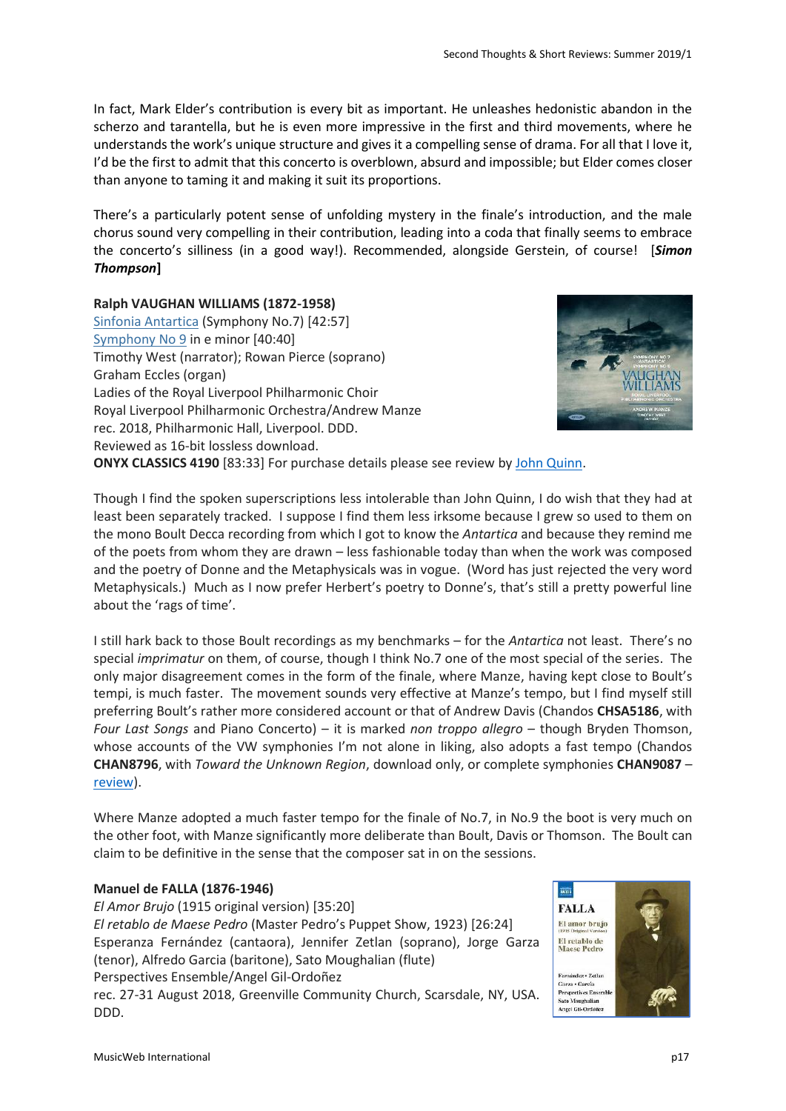In fact, Mark Elder's contribution is every bit as important. He unleashes hedonistic abandon in the scherzo and tarantella, but he is even more impressive in the first and third movements, where he understands the work's unique structure and gives it a compelling sense of drama. For all that I love it, I'd be the first to admit that this concerto is overblown, absurd and impossible; but Elder comes closer than anyone to taming it and making it suit its proportions.

There's a particularly potent sense of unfolding mystery in the finale's introduction, and the male chorus sound very compelling in their contribution, leading into a coda that finally seems to embrace the concerto's silliness (in a good way!). Recommended, alongside Gerstein, of course! [*Simon Thompson***]**

### **Ralph VAUGHAN WILLIAMS (1872-1958)**

[Sinfonia Antartica](http://www.musicweb-international.com/mwork_index/VW_sys79.htm) (Symphony No.7) [42:57] [Symphony No 9](http://www.musicweb-international.com/mwork_index/VW_sys79.htm) in e minor [40:40] Timothy West (narrator); Rowan Pierce (soprano) Graham Eccles (organ) Ladies of the Royal Liverpool Philharmonic Choir Royal Liverpool Philharmonic Orchestra/Andrew Manze rec. 2018, Philharmonic Hall, Liverpool. DDD. Reviewed as 16-bit lossless download.



**ONYX CLASSICS 4190** [83:33] For purchase details please see review b[y John Quinn.](http://musicweb-international.com/classrev/2019/May/VW_sys79_4190.htm)

Though I find the spoken superscriptions less intolerable than John Quinn, I do wish that they had at least been separately tracked. I suppose I find them less irksome because I grew so used to them on the mono Boult Decca recording from which I got to know the *Antartica* and because they remind me of the poets from whom they are drawn – less fashionable today than when the work was composed and the poetry of Donne and the Metaphysicals was in vogue. (Word has just rejected the very word Metaphysicals.) Much as I now prefer Herbert's poetry to Donne's, that's still a pretty powerful line about the 'rags of time'.

I still hark back to those Boult recordings as my benchmarks – for the *Antartica* not least. There's no special *imprimatur* on them, of course, though I think No.7 one of the most special of the series. The only major disagreement comes in the form of the finale, where Manze, having kept close to Boult's tempi, is much faster. The movement sounds very effective at Manze's tempo, but I find myself still preferring Boult's rather more considered account or that of Andrew Davis (Chandos **CHSA5186**, with *Four Last Songs* and Piano Concerto) – it is marked *non troppo allegro* – though Bryden Thomson, whose accounts of the VW symphonies I'm not alone in liking, also adopts a fast tempo (Chandos **CHAN8796**, with *Toward the Unknown Region*, download only, or complete symphonies **CHAN9087** – [review\)](http://musicweb-international.com/classrev/2019/Apr/VW_sys_CHAN9087.htm).

Where Manze adopted a much faster tempo for the finale of No.7, in No.9 the boot is very much on the other foot, with Manze significantly more deliberate than Boult, Davis or Thomson. The Boult can claim to be definitive in the sense that the composer sat in on the sessions.

### **Manuel de FALLA (1876-1946)**

*El Amor Brujo* (1915 original version) [35:20] *El retablo de Maese Pedro* (Master Pedro's Puppet Show, 1923) [26:24] Esperanza Fernández (cantaora), Jennifer Zetlan (soprano), Jorge Garza (tenor), Alfredo Garcia (baritone), Sato Moughalian (flute) Perspectives Ensemble/Angel Gil-Ordoñez rec. 27-31 August 2018, Greenville Community Church, Scarsdale, NY, USA. DDD.

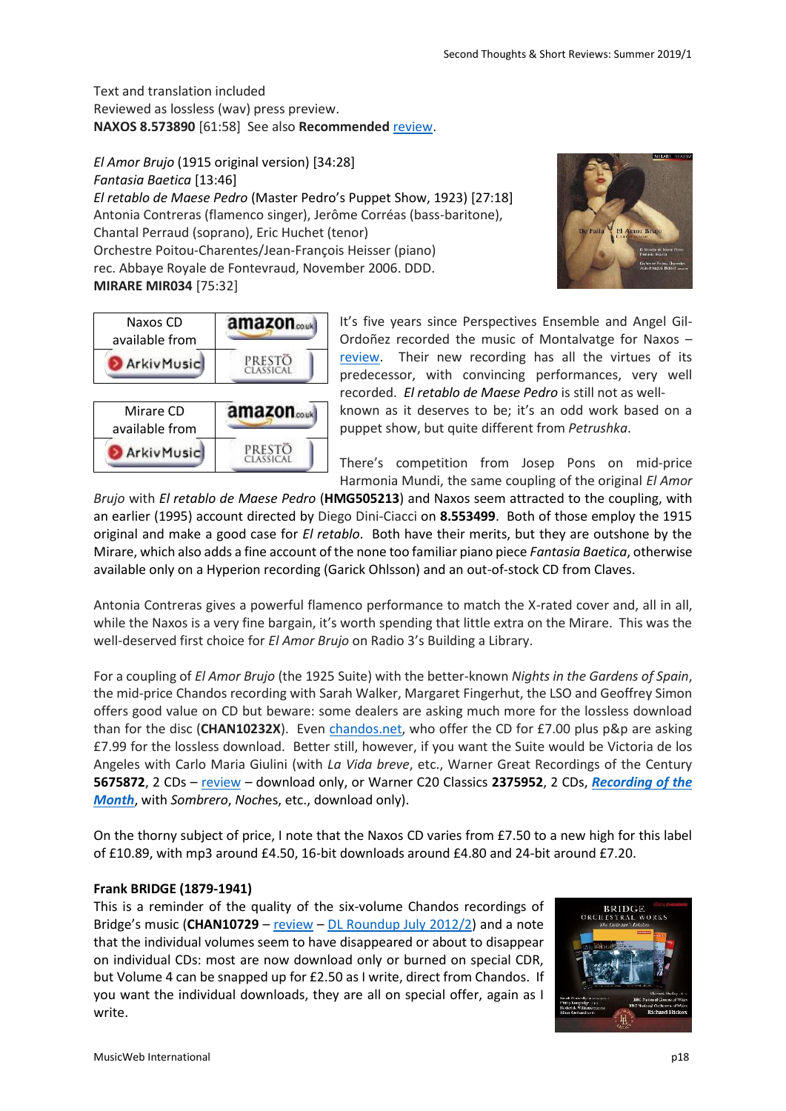Text and translation included Reviewed as lossless (wav) press preview. **NAXOS 8.573890** [61:58] See also **Recommended** [review.](http://musicweb-international.com/classrev/2019/Jul/Falla_brujo_8573890.htm)

*El Amor Brujo* (1915 original version) [34:28] *Fantasia Baetica* [13:46] *El retablo de Maese Pedro* (Master Pedro's Puppet Show, 1923) [27:18] Antonia Contreras (flamenco singer), Jerôme Corréas (bass-baritone), Chantal Perraud (soprano), Eric Huchet (tenor) Orchestre Poitou-Charentes/Jean-François Heisser (piano) rec. Abbaye Royale de Fontevraud, November 2006. DDD. **MIRARE MIR034** [75:32]



| Naxos CD<br>available from  | amazon <sub>couk</sub> |
|-----------------------------|------------------------|
| <b>ArkivMusic</b>           | PRESTO<br>CLASSICAL    |
|                             |                        |
| Mirare CD<br>available from | amazon                 |

It's five years since Perspectives Ensemble and Angel Gil-Ordoñez recorded the music of Montalvatge for Naxos – [review.](http://www.musicweb-international.com/classrev/2014/Jun14/Montsalvatge_madrigal_8573101.htm) Their new recording has all the virtues of its predecessor, with convincing performances, very well recorded. *El retablo de Maese Pedro* is still not as wellknown as it deserves to be; it's an odd work based on a puppet show, but quite different from *Petrushka*.

There's competition from Josep Pons on mid-price Harmonia Mundi, the same coupling of the original *El Amor* 

*Brujo* with *El retablo de Maese Pedro* (**HMG505213**) and Naxos seem attracted to the coupling, with an earlier (1995) account directed by Diego Dini-Ciacci on **8.553499**. Both of those employ the 1915 original and make a good case for *El retablo*. Both have their merits, but they are outshone by the Mirare, which also adds a fine account of the none too familiar piano piece *Fantasia Baetica*, otherwise available only on a Hyperion recording (Garick Ohlsson) and an out-of-stock CD from Claves.

Antonia Contreras gives a powerful flamenco performance to match the X-rated cover and, all in all, while the Naxos is a very fine bargain, it's worth spending that little extra on the Mirare. This was the well-deserved first choice for *El Amor Brujo* on Radio 3's Building a Library.

For a coupling of *El Amor Brujo* (the 1925 Suite) with the better-known *Nights in the Gardens of Spain*, the mid-price Chandos recording with Sarah Walker, Margaret Fingerhut, the LSO and Geoffrey Simon offers good value on CD but beware: some dealers are asking much more for the lossless download than for the disc (**CHAN10232X**). Even [chandos.net,](https://www.chandos.net/products/catalogue/CHAN%2010232) who offer the CD for £7.00 plus p&p are asking £7.99 for the lossless download. Better still, however, if you want the Suite would be Victoria de los Angeles with Carlo Maria Giulini (with *La Vida breve*, etc., Warner Great Recordings of the Century **5675872**, 2 CDs – [review](http://www.musicweb-international.com/classrev/2001/Dec01/Falla_victoriadelosangeles.htm) – download only, or Warner C20 Classics **2375952**, 2 CDs, *[Recording of the](http://www.musicweb-international.com/classrev/2009/Apr09/Falla_2375952.htm)  [Month](http://www.musicweb-international.com/classrev/2009/Apr09/Falla_2375952.htm)*, with *Sombrero*, *Noch*es, etc., download only).

On the thorny subject of price, I note that the Naxos CD varies from £7.50 to a new high for this label of £10.89, with mp3 around £4.50, 16-bit downloads around £4.80 and 24-bit around £7.20.

# **Frank BRIDGE (1879-1941)**

This is a reminder of the quality of the six-volume Chandos recordings of Bridge's music (**CHAN10729** – [review](http://www.musicweb-international.com/classrev/2012/Oct12/Bridge_Hickox_CHAN10729.htm) – [DL Roundup July 2012/2\)](http://www.musicweb-international.com/classrev/2012/June12/DL_roundup_June12_2.htm) and a note that the individual volumes seem to have disappeared or about to disappear on individual CDs: most are now download only or burned on special CDR, but Volume 4 can be snapped up for £2.50 as I write, direct from Chandos. If you want the individual downloads, they are all on special offer, again as I write.

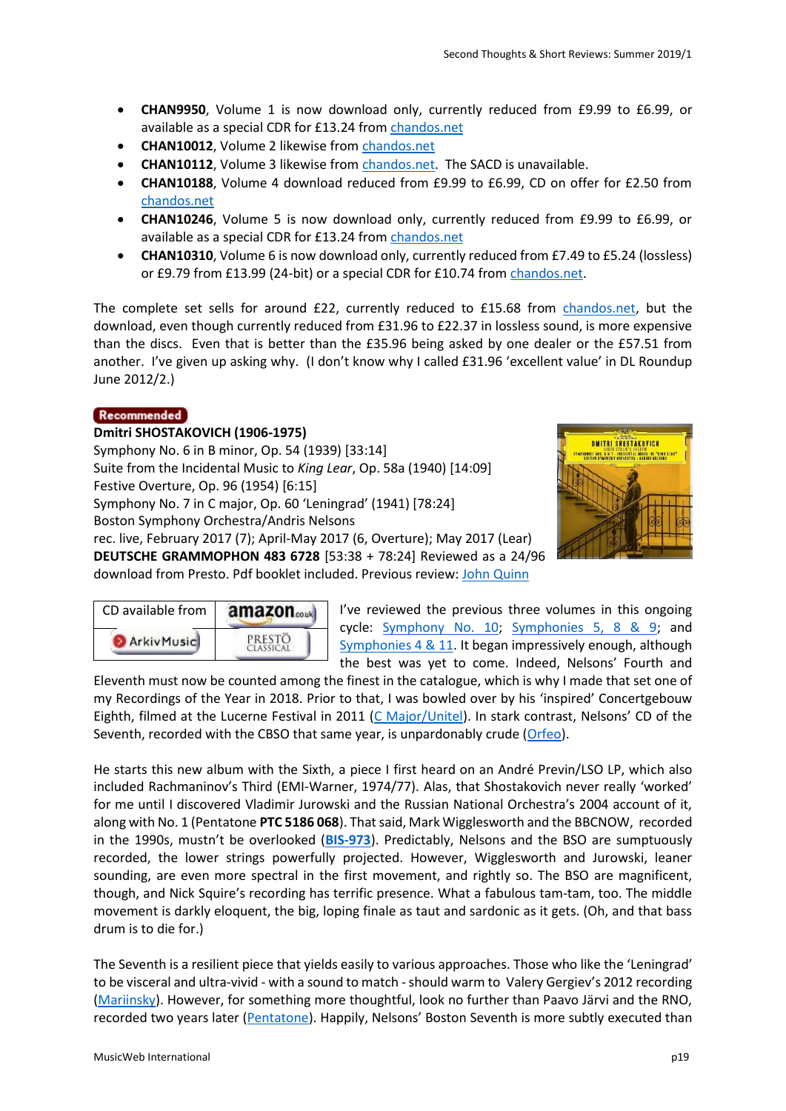- **CHAN9950**, Volume 1 is now download only, currently reduced from £9.99 to £6.99, or available as a special CDR for £13.24 from [chandos.net](https://www.chandos.net/products/catalogue/CHAN%209950)
- **CHAN10012**, Volume 2 likewise from [chandos.net](https://www.chandos.net/products/catalogue/CHAN%2010012)
- **CHAN10112, Volume 3 likewise from [chandos.net.](https://www.chandos.net/products/catalogue/CHAN%2010112)** The SACD is unavailable.
- **CHAN10188**, Volume 4 download reduced from £9.99 to £6.99, CD on offer for £2.50 from [chandos.net](https://www.chandos.net/products/catalogue/CHAN%2010188)
- **CHAN10246**, Volume 5 is now download only, currently reduced from £9.99 to £6.99, or available as a special CDR for £13.24 from [chandos.net](https://www.chandos.net/products/catalogue/CHAN%2010246)
- **CHAN10310**, Volume 6 is now download only, currently reduced from £7.49 to £5.24 (lossless) or £9.79 from £13.99 (24-bit) or a special CDR for £10.74 fro[m chandos.net.](https://www.chandos.net/products/catalogue/CHAN%2010310)

The complete set sells for around £22, currently reduced to £15.68 from [chandos.net,](https://www.chandos.net/products/catalogue/CHAN%2010729) but the download, even though currently reduced from £31.96 to £22.37 in lossless sound, is more expensive than the discs. Even that is better than the £35.96 being asked by one dealer or the £57.51 from another. I've given up asking why. (I don't know why I called £31.96 'excellent value' in DL Roundup June 2012/2.)

### Recommended

CD available from

**ArkivMusic** 

# **Dmitri SHOSTAKOVICH (1906-1975)** Symphony No. 6 in B minor, Op. 54 (1939) [33:14] Suite from the Incidental Music to *King Lear*, Op. 58a (1940) [14:09] Festive Overture, Op. 96 (1954) [6:15] Symphony No. 7 in C major, Op. 60 'Leningrad' (1941) [78:24] Boston Symphony Orchestra/Andris Nelsons rec. live, February 2017 (7); April-May 2017 (6, Overture); May 2017 (Lear) **DEUTSCHE GRAMMOPHON 483 6728** [53:38 + 78:24] Reviewed as a 24/96 download from Presto. Pdf booklet included. Previous review: [John Quinn](http://www.musicweb-international.com/classrev/2019/Mar/Shostakovich_sys_4836728.htm)

amazon<sub>couk</sub>

**PRESTO** 



I've reviewed the previous three volumes in this ongoing cycle: [Symphony No. 10;](http://www.musicweb-international.com/classrev/2015/Aug/Shostakovich_sy10_4795059.htm) [Symphonies 5, 8 & 9;](http://www.musicweb-international.com/classrev/2016/Jun/Shostakovich_sys_4795201.htm) and [Symphonies 4 & 11.](http://www.musicweb-international.com/classrev/2018/Jul/Shostakovich_sys_4835220.htm) It began impressively enough, although the best was yet to come. Indeed, Nelsons' Fourth and

Eleventh must now be counted among the finest in the catalogue, which is why I made that set one of my Recordings of the Year in 2018. Prior to that, I was bowled over by his 'inspired' Concertgebouw Eighth, filmed at the Lucerne Festival in 2011 [\(C Major/Unitel](http://www.musicweb-international.com/classrev/2012/May12/Shostakovich_Sym8_CMajor710004.htm)). In stark contrast, Nelsons' CD of the Seventh, recorded with the CBSO that same year, is unpardonably crude [\(Orfeo\)](http://www.musicweb-international.com/classrev/2012/Nov12/Shostakovich7_C852121A.htm).

He starts this new album with the Sixth, a piece I first heard on an André Previn/LSO LP, which also included Rachmaninov's Third (EMI-Warner, 1974/77). Alas, that Shostakovich never really 'worked' for me until I discovered Vladimir Jurowski and the Russian National Orchestra's 2004 account of it, along with No. 1 (Pentatone **PTC 5186 068**). That said, Mark Wigglesworth and the BBCNOW, recorded in the 1990s, mustn't be overlooked (**[BIS-973](https://www.eclassical.com/conductors/wigglesworth-mark/shostakovich-symphonies-nos5-6-and-10.html)**). Predictably, Nelsons and the BSO are sumptuously recorded, the lower strings powerfully projected. However, Wigglesworth and Jurowski, leaner sounding, are even more spectral in the first movement, and rightly so. The BSO are magnificent, though, and Nick Squire's recording has terrific presence. What a fabulous tam-tam, too. The middle movement is darkly eloquent, the big, loping finale as taut and sardonic as it gets. (Oh, and that bass drum is to die for.)

The Seventh is a resilient piece that yields easily to various approaches. Those who like the 'Leningrad' to be visceral and ultra-vivid - with a sound to match -should warm to Valery Gergiev's 2012 recording [\(Mariinsky\)](http://www.musicweb-international.com/classrev/2013/Jan13/Shostakovich_s7_MAR0533.htm). However, for something more thoughtful, look no further than Paavo Järvi and the RNO, recorded two years later [\(Pentatone](http://www.musicweb-international.com/classrev/2015/Apr/Shostakovich_sy7_PTC5186511.htm)). Happily, Nelsons' Boston Seventh is more subtly executed than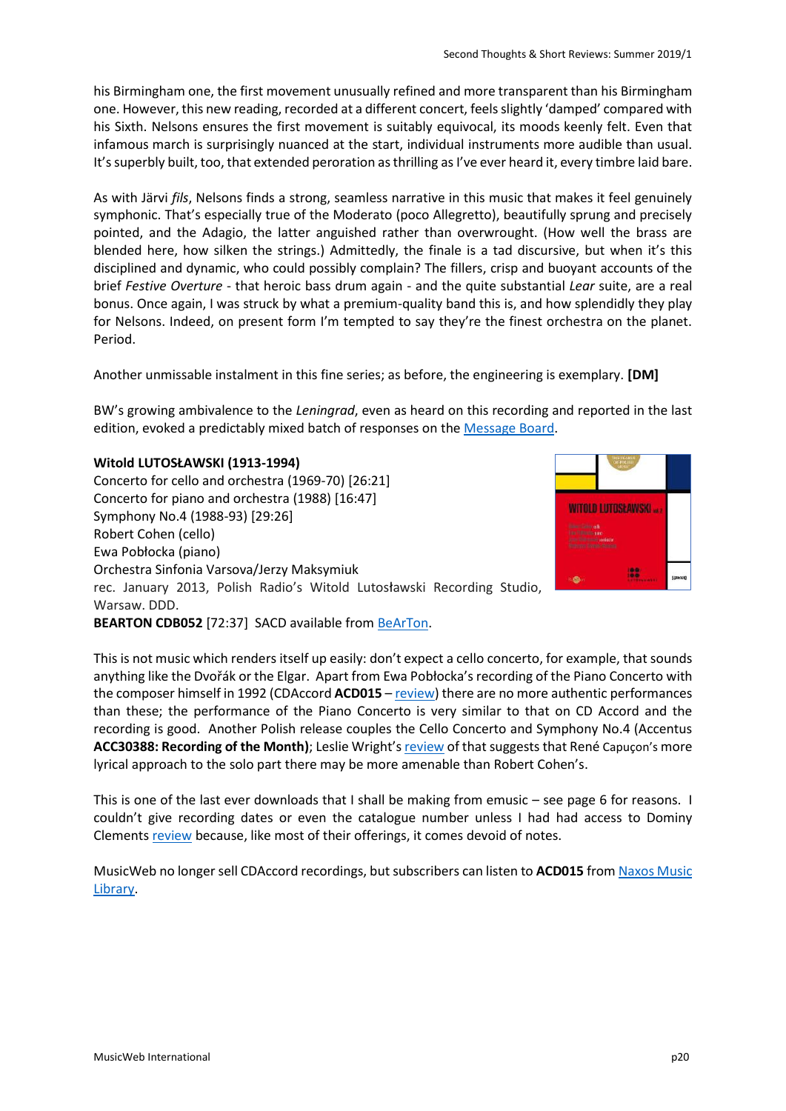his Birmingham one, the first movement unusually refined and more transparent than his Birmingham one. However, this new reading, recorded at a different concert, feels slightly 'damped' compared with his Sixth. Nelsons ensures the first movement is suitably equivocal, its moods keenly felt. Even that infamous march is surprisingly nuanced at the start, individual instruments more audible than usual. It's superbly built, too, that extended peroration as thrilling as I've ever heard it, every timbre laid bare.

As with Järvi *fils*, Nelsons finds a strong, seamless narrative in this music that makes it feel genuinely symphonic. That's especially true of the Moderato (poco Allegretto), beautifully sprung and precisely pointed, and the Adagio, the latter anguished rather than overwrought. (How well the brass are blended here, how silken the strings.) Admittedly, the finale is a tad discursive, but when it's this disciplined and dynamic, who could possibly complain? The fillers, crisp and buoyant accounts of the brief *Festive Overture* - that heroic bass drum again - and the quite substantial *Lear* suite, are a real bonus. Once again, I was struck by what a premium-quality band this is, and how splendidly they play for Nelsons. Indeed, on present form I'm tempted to say they're the finest orchestra on the planet. Period.

Another unmissable instalment in this fine series; as before, the engineering is exemplary. **[DM]**

BW's growing ambivalence to the *Leningrad*, even as heard on this recording and reported in the last edition, evoked a predictably mixed batch of responses on the [Message Board.](http://members2.boardhost.com/MusicWebUK/msg/1553215002.html)

# **Witold LUTOSŁAWSKI (1913-1994)**

Concerto for cello and orchestra (1969-70) [26:21] Concerto for piano and orchestra (1988) [16:47] Symphony No.4 (1988-93) [29:26] Robert Cohen (cello) Ewa Pobłocka (piano) Orchestra Sinfonia Varsova/Jerzy Maksymiuk rec. January 2013, Polish Radio's Witold Lutosławski Recording Studio, Warsaw. DDD.



**BEARTON CDB052** [72:37] SACD available from [BeArTon.](http://www.bearton.pl/en/?option=com_content&view=article&id=208%3A-lutosawski-witold-w-sacd-vol-2-nr-kat-cdb052&catid=43&Itemid=29&lang=en)

This is not music which renders itself up easily: don't expect a cello concerto, for example, that sounds anything like the Dvořák or the Elgar. Apart from Ewa Pobłocka's recording of the Piano Concerto with the composer himself in 1992 (CDAccord **ACD015** – [review\)](http://www.musicweb-international.com/classrev/2003/Dec03/Lutoslawski_pc_S3.htm) there are no more authentic performances than these; the performance of the Piano Concerto is very similar to that on CD Accord and the recording is good. Another Polish release couples the Cello Concerto and Symphony No.4 (Accentus **ACC30388: Recording of the Month)**; Leslie Wright's [review](http://www.musicweb-international.com/classrev/2017/Mar/Lutoslawski_sy4_ACC30388.htm) of that suggests that René Capuçon's more lyrical approach to the solo part there may be more amenable than Robert Cohen's.

This is one of the last ever downloads that I shall be making from emusic – see page 6 for reasons. I couldn't give recording dates or even the catalogue number unless I had had access to Dominy Clements [review](http://www.musicweb-international.com/classrev/2013/Oct13/Lutoslawski_orchestral_CDB029-052.htm) because, like most of their offerings, it comes devoid of notes.

MusicWeb no longer sell CDAccord recordings, but subscribers can listen to **ACD015** fro[m Naxos Music](https://www.naxosmusiclibrary.com/catalogue/item.asp?cid=CDAccordACD015)  [Library.](https://www.naxosmusiclibrary.com/catalogue/item.asp?cid=CDAccordACD015)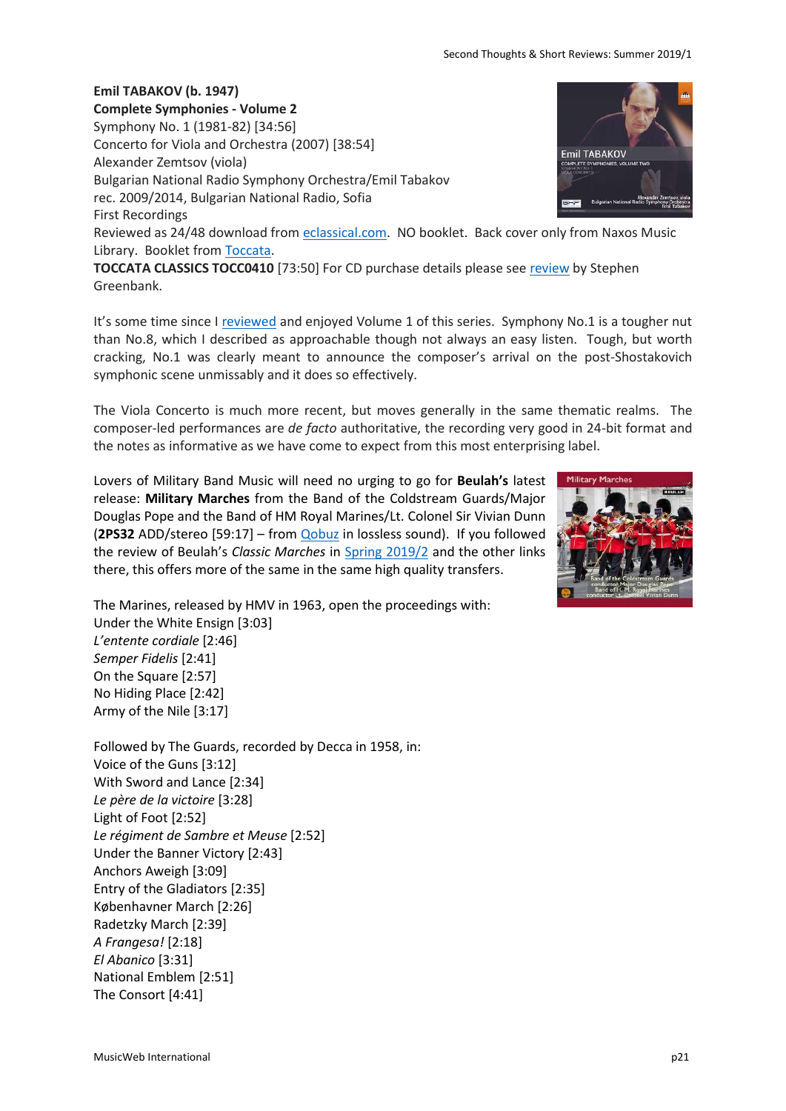### **Emil TABAKOV (b. 1947)**

**Complete Symphonies - Volume 2** Symphony No. 1 (1981-82) [34:56] Concerto for Viola and Orchestra (2007) [38:54] **Emil TABAKOV** Alexander Zemtsov (viola) Bulgarian National Radio Symphony Orchestra/Emil Tabakov rec. 2009/2014, Bulgarian National Radio, Sofia First Recordings Reviewed as 24/48 download from [eclassical.com.](https://www.eclassical.com/tabakov-complete-symphonies-vol-2.html) NO booklet. Back cover only from Naxos Music Library. Booklet fro[m Toccata.](https://d2vhizysjb6bpn.cloudfront.net/TOCC0410DIGIBKLT.pdf)

**TOCCATA CLASSICS TOCC0410** [73:50] For CD purchase details please see [review](http://www.musicweb-international.com/classrev/2017/Sep/Tabakov_symphonies_v2_TOCC0410.htm) by Stephen Greenbank.

It's some time since I [reviewed](http://www.musicweb-international.com/classrev/2016/Sep/Tabakov_symphonies_v1_TOCC0365.htm) and enjoyed Volume 1 of this series. Symphony No.1 is a tougher nut than No.8, which I described as approachable though not always an easy listen. Tough, but worth cracking, No.1 was clearly meant to announce the composer's arrival on the post-Shostakovich symphonic scene unmissably and it does so effectively.

The Viola Concerto is much more recent, but moves generally in the same thematic realms. The composer-led performances are *de facto* authoritative, the recording very good in 24-bit format and the notes as informative as we have come to expect from this most enterprising label.

Lovers of Military Band Music will need no urging to go for **Beulah's** latest release: **Military Marches** from the Band of the Coldstream Guards/Major Douglas Pope and the Band of HM Royal Marines/Lt. Colonel Sir Vivian Dunn (**2PS32** ADD/stereo [59:17] – from [Qobuz](https://www.qobuz.com/gb-en/album/military-marches-band-of-h-m-royal-marines-and-band-of-the-coldstream-guards/z3muqy9vjqqxb) in lossless sound). If you followed the review of Beulah's *Classic Marches* in [Spring 2019/2](http://www.musicweb-international.com/classrev/2019/Apr/Spring_2019_2.pdf) and the other links there, this offers more of the same in the same high quality transfers.



The Marines, released by HMV in 1963, open the proceedings with: Under the White Ensign [3:03] *L'entente cordiale* [2:46] *Semper Fidelis* [2:41] On the Square [2:57] No Hiding Place [2:42] Army of the Nile [3:17]

Followed by The Guards, recorded by Decca in 1958, in: Voice of the Guns [3:12] With Sword and Lance [2:34] *Le père de la victoire* [3:28] Light of Foot [2:52] *Le régiment de Sambre et Meuse* [2:52] Under the Banner Victory [2:43] Anchors Aweigh [3:09] Entry of the Gladiators [2:35] Københavner March [2:26] Radetzky March [2:39] *A Frangesa!* [2:18] *El Abanico* [3:31] National Emblem [2:51] The Consort [4:41]